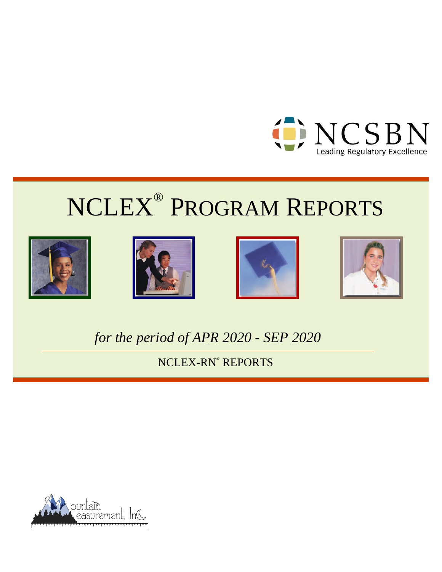

# NCLEX® PROGRAM REPORTS









*for the period of APR 2020 - SEP 2020*

NCLEX-RN® REPORTS

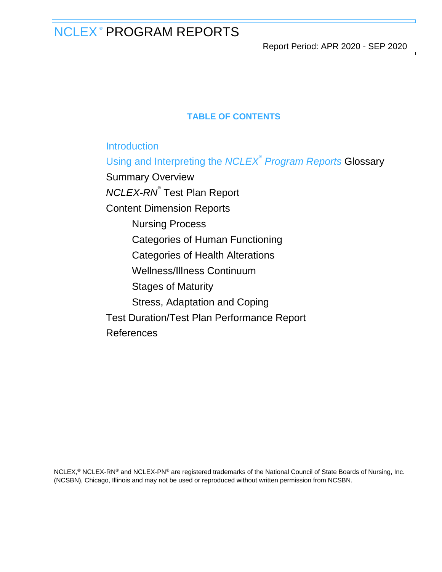Report Period: APR 2020 - SEP 2020

# **TABLE OF CONTENTS**

**[Introduction](#page-2-0)** 

[Using and Interpreting the](#page-3-0) [NCLEX](#page-3-0)<sup>[®](#page-3-0)</sup> [Program Reports](#page-3-0) [Glossary](#page-3-0)

[Summary Overview](#page-5-0) [NCLEX-RN](#page-11-0)<sup>[®](#page-11-0)</sup> [Test Plan Report](#page-11-0) [Content Dimension Reports](#page-17-0) [Nursing Process](#page-17-0) [Categories of Human Functioning](#page-22-0) [Categories of Health Alterations](#page-27-0) [Wellness/Illness Continuum](#page-32-0) [Stages of Maturity](#page-37-0) [Stress, Adaptation and Coping](#page-42-0) [Test Duration/Test Plan Performance Report](#page-47-0) [References](#page-51-0)

NCLEX,<sup>®</sup> NCLEX-RN<sup>®</sup> and NCLEX-PN<sup>®</sup> are registered trademarks of the National Council of State Boards of Nursing, Inc. (NCSBN), Chicago, Illinois and may not be used or reproduced without written permission from NCSBN.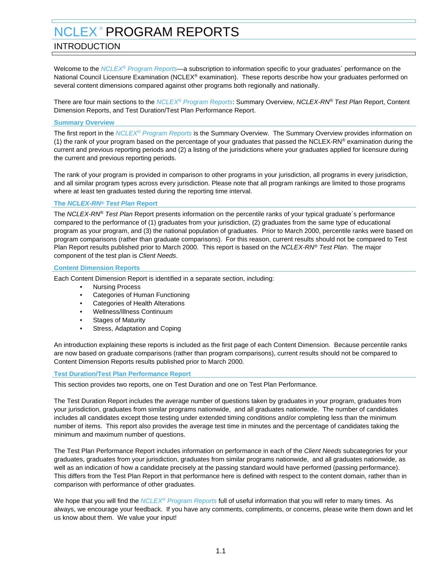# <span id="page-2-0"></span>INTRODUCTION

Welcome to the NCLEX<sup>®</sup> Program Reports—a subscription to information specific to your graduates' performance on the National Council Licensure Examination (NCLEX® examination). These reports describe how your graduates performed on several content dimensions compared against other programs both regionally and nationally.

There are four main sections to the NCLEX® Program Reports: Summary Overview, NCLEX-RN® Test Plan Report, Content Dimension Reports, and Test Duration/Test Plan Performance Report.

#### **Summary Overview**

The first report in the NCLEX<sup>®</sup> Program Reports is the Summary Overview. The Summary Overview provides information on (1) the rank of your program based on the percentage of your graduates that passed the NCLEX-RN® examination during the current and previous reporting periods and (2) a listing of the jurisdictions where your graduates applied for licensure during the current and previous reporting periods.

The rank of your program is provided in comparison to other programs in your jurisdiction, all programs in every jurisdiction, and all similar program types across every jurisdiction. Please note that all program rankings are limited to those programs where at least ten graduates tested during the reporting time interval.

#### **The NCLEX-RN® Test Plan Report**

The NCLEX-RN® Test Plan Report presents information on the percentile ranks of your typical graduate's performance compared to the performance of (1) graduates from your jurisdiction, (2) graduates from the same type of educational program as your program, and (3) the national population of graduates. Prior to March 2000, percentile ranks were based on program comparisons (rather than graduate comparisons). For this reason, current results should not be compared to Test Plan Report results published prior to March 2000. This report is based on the NCLEX-RN® Test Plan. The major component of the test plan is Client Needs.

#### **Content Dimension Reports**

Each Content Dimension Report is identified in a separate section, including:

- Nursing Process
- Categories of Human Functioning
- Categories of Health Alterations
- Wellness/Illness Continuum
- Stages of Maturity
- Stress, Adaptation and Coping

An introduction explaining these reports is included as the first page of each Content Dimension. Because percentile ranks are now based on graduate comparisons (rather than program comparisons), current results should not be compared to Content Dimension Reports results published prior to March 2000.

#### **Test Duration/Test Plan Performance Report**

This section provides two reports, one on Test Duration and one on Test Plan Performance.

The Test Duration Report includes the average number of questions taken by graduates in your program, graduates from your jurisdiction, graduates from similar programs nationwide, and all graduates nationwide. The number of candidates includes all candidates except those testing under extended timing conditions and/or completing less than the minimum number of items. This report also provides the average test time in minutes and the percentage of candidates taking the minimum and maximum number of questions.

The Test Plan Performance Report includes information on performance in each of the Client Needs subcategories for your graduates, graduates from your jurisdiction, graduates from similar programs nationwide, and all graduates nationwide, as well as an indication of how a candidate precisely at the passing standard would have performed (passing performance). This differs from the Test Plan Report in that performance here is defined with respect to the content domain, rather than in comparison with performance of other graduates.

We hope that you will find the  $NCLEX<sup>®</sup> Program Reports full of useful information that you will refer to many times. As$ always, we encourage your feedback. If you have any comments, compliments, or concerns, please write them down and let us know about them. We value your input!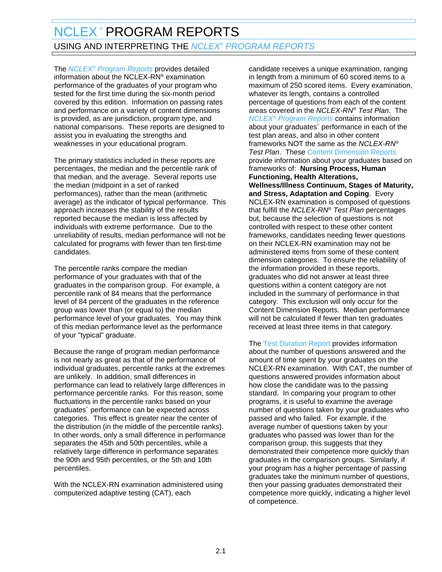# <span id="page-3-0"></span>NCLEX<sup>®</sup> PROGRAM REPORTS USING AND INTERPRETING THE *NCLEX® PROGRAM REPORTS*

The *NCLEX<sup>®</sup> Program Reports* provides detailed information about the NCLEX-RN® examination performance of the graduates of your program who tested for the first time during the six-month period covered by this edition. Information on passing rates and performance on a variety of content dimensions is provided, as are jurisdiction, program type, and national comparisons. These reports are designed to assist you in evaluating the strengths and weaknesses in your educational program.

The primary statistics included in these reports are percentages, the median and the percentile rank of that median, and the average. Several reports use the median (midpoint in a set of ranked performances), rather than the mean (arithmetic average) as the indicator of typical performance. This approach increases the stability of the results reported because the median is less affected by individuals with extreme performance. Due to the unreliability of results, median performance will not be calculated for programs with fewer than ten first-time candidates.

The percentile ranks compare the median performance of your graduates with that of the graduates in the comparison group. For example, a percentile rank of 84 means that the performance level of 84 percent of the graduates in the reference group was lower than (or equal to) the median performance level of your graduates. You may think of this median performance level as the performance of your "typical" graduate.

Because the range of program median performance is not nearly as great as that of the performance of individual graduates, percentile ranks at the extremes are unlikely. In addition, small differences in performance can lead to relatively large differences in performance percentile ranks. For this reason, some fluctuations in the percentile ranks based on your graduates´ performance can be expected across categories. This effect is greater near the center of the distribution (in the middle of the percentile ranks). In other words, only a small difference in performance separates the 45th and 50th percentiles, while a relatively large difference in performance separates the 90th and 95th percentiles, or the 5th and 10th percentiles.

With the NCLEX-RN examination administered using computerized adaptive testing (CAT), each

candidate receives a unique examination, ranging in length from a minimum of 60 scored items to a maximum of 250 scored items. Every examination, whatever its length, contains a controlled percentage of questions from each of the content areas covered in the NCLEX-RN® Test Plan. The **NCLEX<sup>®</sup>** Program Reports contains information about your graduates´ performance in each of the test plan areas, and also in other content frameworks NOT the same as the NCLEX-RN® **Test Plan. These Content Dimension Reports** provide information about your graduates based on frameworks of: **Nursing Process, Human Functioning, Health Alterations, Wellness/Illness Continuum, Stages of Maturity, and Stress, Adaptation and Coping**. Every NCLEX-RN examination is composed of questions that fulfill the NCLEX-RN® Test Plan percentages but, because the selection of questions is not controlled with respect to these other content frameworks, candidates needing fewer questions on their NCLEX-RN examination may not be administered items from some of these content dimension categories. To ensure the reliability of the information provided in these reports, graduates who did not answer at least three questions within a content category are not included in the summary of performance in that category. This exclusion will only occur for the Content Dimension Reports. Median performance will not be calculated if fewer than ten graduates received at least three items in that category.

The Test Duration Report provides information about the number of questions answered and the amount of time spent by your graduates on the NCLEX-RN examination. With CAT, the number of questions answered provides information about how close the candidate was to the passing standard. In comparing your program to other programs, it is useful to examine the average number of questions taken by your graduates who passed and who failed. For example, if the average number of questions taken by your graduates who passed was lower than for the comparison group, this suggests that they demonstrated their competence more quickly than graduates in the comparison groups. Similarly, if your program has a higher percentage of passing graduates take the minimum number of questions, then your passing graduates demonstrated their competence more quickly, indicating a higher level of competence.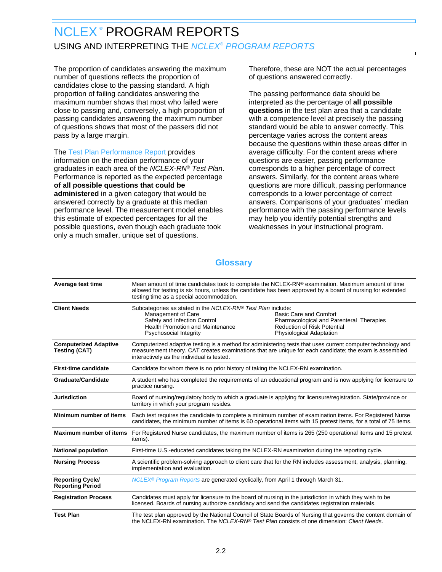# NCLEX<sup>®</sup> PROGRAM REPORTS USING AND INTERPRETING THE *NCLEX® PROGRAM REPORTS*

The proportion of candidates answering the maximum number of questions reflects the proportion of candidates close to the passing standard. A high proportion of failing candidates answering the maximum number shows that most who failed were close to passing and, conversely, a high proportion of passing candidates answering the maximum number of questions shows that most of the passers did not pass by a large margin.

The Test Plan Performance Report provides information on the median performance of your graduates in each area of the NCLEX-RN® Test Plan. Performance is reported as the expected percentage **of all possible questions that could be administered** in a given category that would be answered correctly by a graduate at this median performance level. The measurement model enables this estimate of expected percentages for all the possible questions, even though each graduate took only a much smaller, unique set of questions.

Therefore, these are NOT the actual percentages of questions answered correctly.

The passing performance data should be interpreted as the percentage of **all possible questions** in the test plan area that a candidate with a competence level at precisely the passing standard would be able to answer correctly. This percentage varies across the content areas because the questions within these areas differ in average difficulty. For the content areas where questions are easier, passing performance corresponds to a higher percentage of correct answers. Similarly, for the content areas where questions are more difficult, passing performance corresponds to a lower percentage of correct answers. Comparisons of your graduates´ median performance with the passing performance levels may help you identify potential strengths and weaknesses in your instructional program.

# **Glossary**

| Average test time                                    | Mean amount of time candidates took to complete the NCLEX-RN® examination. Maximum amount of time<br>allowed for testing is six hours, unless the candidate has been approved by a board of nursing for extended<br>testing time as a special accommodation. |                                                                                                                                                                                                                       |  |
|------------------------------------------------------|--------------------------------------------------------------------------------------------------------------------------------------------------------------------------------------------------------------------------------------------------------------|-----------------------------------------------------------------------------------------------------------------------------------------------------------------------------------------------------------------------|--|
| <b>Client Needs</b>                                  | Subcategories as stated in the NCLEX-RN® Test Plan include:<br>Management of Care<br>Safety and Infection Control<br><b>Health Promotion and Maintenance</b><br>Psychosocial Integrity                                                                       | <b>Basic Care and Comfort</b><br>Pharmacological and Parenteral Therapies<br><b>Reduction of Risk Potential</b><br>Physiological Adaptation                                                                           |  |
| <b>Computerized Adaptive</b><br><b>Testing (CAT)</b> | interactively as the individual is tested.                                                                                                                                                                                                                   | Computerized adaptive testing is a method for administering tests that uses current computer technology and<br>measurement theory. CAT creates examinations that are unique for each candidate; the exam is assembled |  |
| <b>First-time candidate</b>                          | Candidate for whom there is no prior history of taking the NCLEX-RN examination.                                                                                                                                                                             |                                                                                                                                                                                                                       |  |
| <b>Graduate/Candidate</b>                            | A student who has completed the requirements of an educational program and is now applying for licensure to<br>practice nursing.                                                                                                                             |                                                                                                                                                                                                                       |  |
| <b>Jurisdiction</b>                                  | Board of nursing/regulatory body to which a graduate is applying for licensure/registration. State/province or<br>territory in which your program resides.                                                                                                   |                                                                                                                                                                                                                       |  |
| Minimum number of items                              | Each test requires the candidate to complete a minimum number of examination items. For Registered Nurse<br>candidates, the minimum number of items is 60 operational items with 15 pretest items, for a total of 75 items.                                  |                                                                                                                                                                                                                       |  |
| <b>Maximum number of items</b>                       | For Registered Nurse candidates, the maximum number of items is 265 (250 operational items and 15 pretest<br>items).                                                                                                                                         |                                                                                                                                                                                                                       |  |
| <b>National population</b>                           | First-time U.S.-educated candidates taking the NCLEX-RN examination during the reporting cycle.                                                                                                                                                              |                                                                                                                                                                                                                       |  |
| <b>Nursing Process</b>                               | A scientific problem-solving approach to client care that for the RN includes assessment, analysis, planning,<br>implementation and evaluation.                                                                                                              |                                                                                                                                                                                                                       |  |
| <b>Reporting Cycle/</b><br><b>Reporting Period</b>   | NCLEX <sup>®</sup> Program Reports are generated cyclically, from April 1 through March 31.                                                                                                                                                                  |                                                                                                                                                                                                                       |  |
| <b>Registration Process</b>                          | Candidates must apply for licensure to the board of nursing in the jurisdiction in which they wish to be<br>licensed. Boards of nursing authorize candidacy and send the candidates registration materials.                                                  |                                                                                                                                                                                                                       |  |
| <b>Test Plan</b>                                     | The test plan approved by the National Council of State Boards of Nursing that governs the content domain of<br>the NCLEX-RN examination. The NCLEX-RN® Test Plan consists of one dimension: Client Needs.                                                   |                                                                                                                                                                                                                       |  |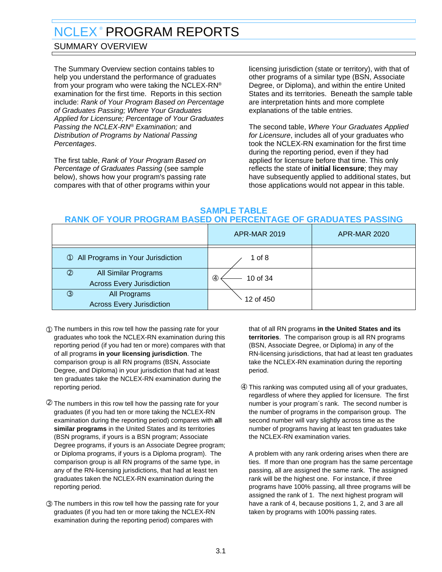# <span id="page-5-0"></span>SUMMARY OVERVIEW

The Summary Overview section contains tables to help you understand the performance of graduates from your program who were taking the NCLEX-RN® examination for the first time. Reports in this section include: Rank of Your Program Based on Percentage of Graduates Passing; Where Your Graduates Applied for Licensure; Percentage of Your Graduates Passing the NCLEX-RN® Examination; and Distribution of Programs by National Passing Percentages.

The first table, Rank of Your Program Based on Percentage of Graduates Passing (see sample below), shows how your program's passing rate compares with that of other programs within your

licensing jurisdiction (state or territory), with that of other programs of a similar type (BSN, Associate Degree, or Diploma), and within the entire United States and its territories. Beneath the sample table are interpretation hints and more complete explanations of the table entries.

The second table, Where Your Graduates Applied for Licensure, includes all of your graduates who took the NCLEX-RN examination for the first time during the reporting period, even if they had applied for licensure before that time. This only reflects the state of **initial licensure**; they may have subsequently applied to additional states, but those applications would not appear in this table.

### **SAMPLE TABLE RANK OF YOUR PROGRAM BASED ON PERCENTAGE OF GRADUATES PASSING**

|                                                                            | <b>APR-MAR 2019</b> | <b>APR-MAR 2020</b> |
|----------------------------------------------------------------------------|---------------------|---------------------|
| <b>10 All Programs in Your Jurisdiction</b>                                | 1 of $8$            |                     |
| All Similar Programs<br>$^{\circledR}$<br><b>Across Every Jurisdiction</b> | 10 of 34<br>④       |                     |
| All Programs<br>$\circled{3}$<br><b>Across Every Jurisdiction</b>          | 12 of 450           |                     |

- ➀ The numbers in this row tell how the passing rate for your graduates who took the NCLEX-RN examination during this reporting period (if you had ten or more) compares with that of all programs **in your licensing jurisdiction**. The comparison group is all RN programs (BSN, Associate Degree, and Diploma) in your jurisdiction that had at least ten graduates take the NCLEX-RN examination during the reporting period.
- ➁ The numbers in this row tell how the passing rate for your graduates (if you had ten or more taking the NCLEX-RN examination during the reporting period) compares with **all similar programs** in the United States and its territories (BSN programs, if yours is a BSN program; Associate Degree programs, if yours is an Associate Degree program; or Diploma programs, if yours is a Diploma program). The comparison group is all RN programs of the same type, in any of the RN-licensing jurisdictions, that had at least ten graduates taken the NCLEX-RN examination during the reporting period.
- ➂ The numbers in this row tell how the passing rate for your graduates (if you had ten or more taking the NCLEX-RN examination during the reporting period) compares with

that of all RN programs **in the United States and its territories**. The comparison group is all RN programs (BSN, Associate Degree, or Diploma) in any of the RN-licensing jurisdictions, that had at least ten graduates take the NCLEX-RN examination during the reporting period.

➃ This ranking was computed using all of your graduates, regardless of where they applied for licensure. The first number is your program´s rank. The second number is the number of programs in the comparison group. The second number will vary slightly across time as the number of programs having at least ten graduates take the NCLEX-RN examination varies.

A problem with any rank ordering arises when there are ties. If more than one program has the same percentage passing, all are assigned the same rank. The assigned rank will be the highest one. For instance, if three programs have 100% passing, all three programs will be assigned the rank of 1. The next highest program will have a rank of 4, because positions 1, 2, and 3 are all taken by programs with 100% passing rates.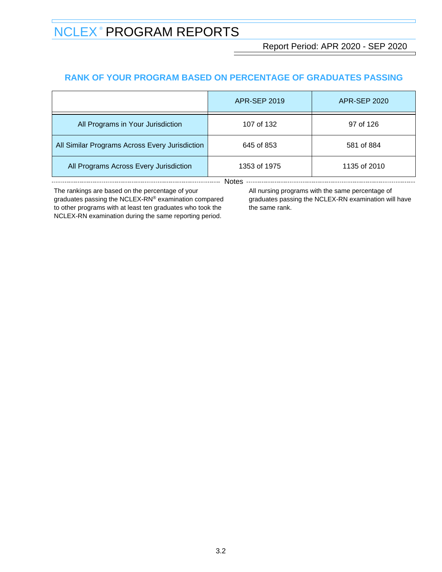Report Period: APR 2020 - SEP 2020

# **RANK OF YOUR PROGRAM BASED ON PERCENTAGE OF GRADUATES PASSING**

|                                                | <b>APR-SEP 2019</b> | <b>APR-SEP 2020</b> |  |  |
|------------------------------------------------|---------------------|---------------------|--|--|
| All Programs in Your Jurisdiction              | 107 of 132          | 97 of 126           |  |  |
| All Similar Programs Across Every Jurisdiction | 645 of 853          | 581 of 884          |  |  |
| All Programs Across Every Jurisdiction         | 1353 of 1975        | 1135 of 2010        |  |  |
| Notes                                          |                     |                     |  |  |

The rankings are based on the percentage of your graduates passing the NCLEX-RN® examination compared to other programs with at least ten graduates who took the NCLEX-RN examination during the same reporting period.

All nursing programs with the same percentage of

graduates passing the NCLEX-RN examination will have the same rank.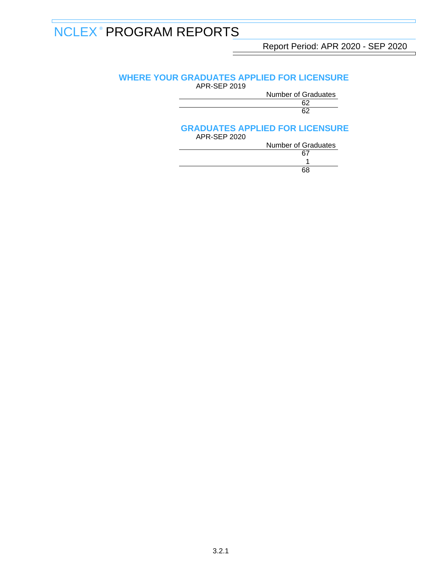Report Period: APR 2020 - SEP 2020

# **WHERE YOUR GRADUATES APPLIED FOR LICENSURE**

APR-SEP 2019

Number of Graduates<br>62

#### $62$  $\sim$  62

# **GRADUATES APPLIED FOR LICENSURE**

| APR-SEP 2020 |                            |
|--------------|----------------------------|
|              | <b>Number of Graduates</b> |
|              | 67                         |
|              |                            |
|              | 68                         |
|              |                            |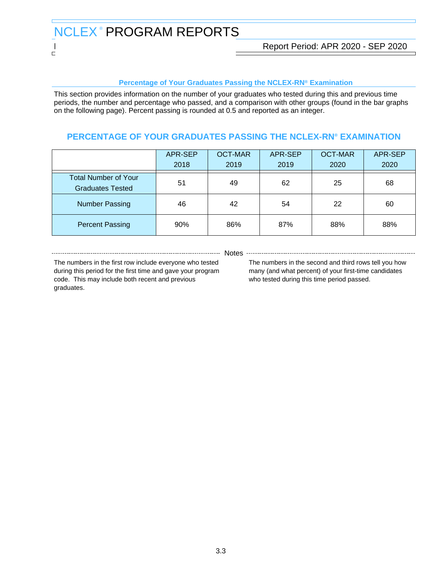#### **Percentage of Your Graduates Passing the NCLEX-RN® Examination**

This section provides information on the number of your graduates who tested during this and previous time periods, the number and percentage who passed, and a comparison with other groups (found in the bar graphs on the following page). Percent passing is rounded at 0.5 and reported as an integer.

# **PERCENTAGE OF YOUR GRADUATES PASSING THE NCLEX-RN® EXAMINATION**

|                                                        | APR-SEP<br>2018 | <b>OCT-MAR</b><br>2019 | APR-SEP<br>2019 | <b>OCT-MAR</b><br>2020 | APR-SEP<br>2020 |
|--------------------------------------------------------|-----------------|------------------------|-----------------|------------------------|-----------------|
| <b>Total Number of Your</b><br><b>Graduates Tested</b> | 51              | 49                     | 62              | 25                     | 68              |
| <b>Number Passing</b>                                  | 46              | 42                     | 54              | 22                     | 60              |
| <b>Percent Passing</b>                                 | 90%             | 86%                    | 87%             | 88%                    | 88%             |

The numbers in the first row include everyone who tested during this period for the first time and gave your program code. This may include both recent and previous graduates.

----- Notes

The numbers in the second and third rows tell you how many (and what percent) of your first-time candidates who tested during this time period passed.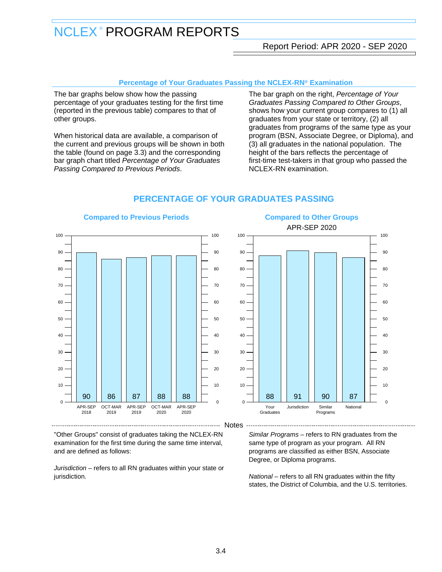### Report Period: APR 2020 - SEP 2020

#### **Percentage of Your Graduates Passing the NCLEX-RN® Examination**

The bar graphs below show how the passing percentage of your graduates testing for the first time (reported in the previous table) compares to that of other groups.

When historical data are available, a comparison of the current and previous groups will be shown in both the table (found on page 3.3) and the corresponding bar graph chart titled Percentage of Your Graduates Passing Compared to Previous Periods.

The bar graph on the right, Percentage of Your Graduates Passing Compared to Other Groups, shows how your current group compares to (1) all graduates from your state or territory, (2) all graduates from programs of the same type as your program (BSN, Associate Degree, or Diploma), and (3) all graduates in the national population. The height of the bars reflects the percentage of first-time test-takers in that group who passed the NCLEX-RN examination.



### **PERCENTAGE OF YOUR GRADUATES PASSING**

"Other Groups" consist of graduates taking the NCLEX-RN examination for the first time during the same time interval, and are defined as follows:

Jurisdiction – refers to all RN graduates within your state or jurisdiction.

#### Similar Programs – refers to RN graduates from the same type of program as your program. All RN programs are classified as either BSN, Associate Degree, or Diploma programs.

National – refers to all RN graduates within the fifty states, the District of Columbia, and the U.S. territories.

# **Compared to Previous Periods**

# **Compared to Other Groups**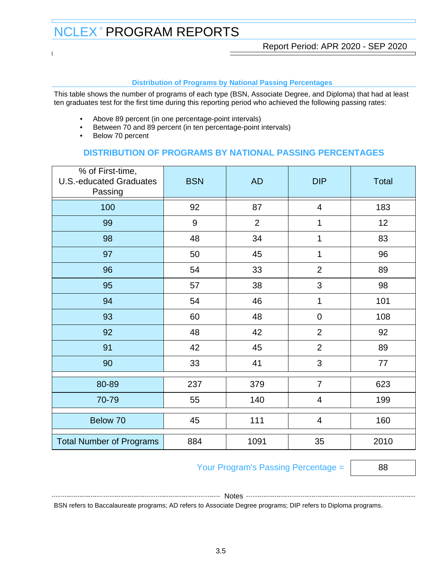#### **Distribution of Programs by National Passing Percentages**

This table shows the number of programs of each type (BSN, Associate Degree, and Diploma) that had at least ten graduates test for the first time during this reporting period who achieved the following passing rates:

- Above 89 percent (in one percentage-point intervals)
- Between 70 and 89 percent (in ten percentage-point intervals)
- Below 70 percent

# **DISTRIBUTION OF PROGRAMS BY NATIONAL PASSING PERCENTAGES**

| % of First-time,<br><b>U.S.-educated Graduates</b><br>Passing | <b>BSN</b> | <b>AD</b>      | <b>DIP</b>               | <b>Total</b> |
|---------------------------------------------------------------|------------|----------------|--------------------------|--------------|
| 100                                                           | 92         | 87             | $\overline{\mathcal{A}}$ | 183          |
| 99                                                            | $9\,$      | $\overline{2}$ | 1                        | 12           |
| 98                                                            | 48         | 34             | 1                        | 83           |
| 97                                                            | 50         | 45             | 1                        | 96           |
| 96                                                            | 54         | 33             | $\overline{2}$           | 89           |
| 95                                                            | 57         | 38             | 3                        | 98           |
| 94                                                            | 54         | 46             | 1                        | 101          |
| 93                                                            | 60         | 48             | $\boldsymbol{0}$         | 108          |
| 92                                                            | 48         | 42             | $\overline{2}$           | 92           |
| 91                                                            | 42         | 45             | $\overline{2}$           | 89           |
| 90                                                            | 33         | 41             | 3                        | 77           |
| 80-89                                                         | 237        | 379            | $\overline{7}$           | 623          |
| 70-79                                                         | 55         | 140            | $\overline{4}$           | 199          |
| Below 70                                                      | 45         | 111            | $\overline{4}$           | 160          |
| <b>Total Number of Programs</b>                               | 884        | 1091           | 35                       | 2010         |

# Your Program's Passing Percentage = 88

-------------- Notes ---------

BSN refers to Baccalaureate programs; AD refers to Associate Degree programs; DIP refers to Diploma programs.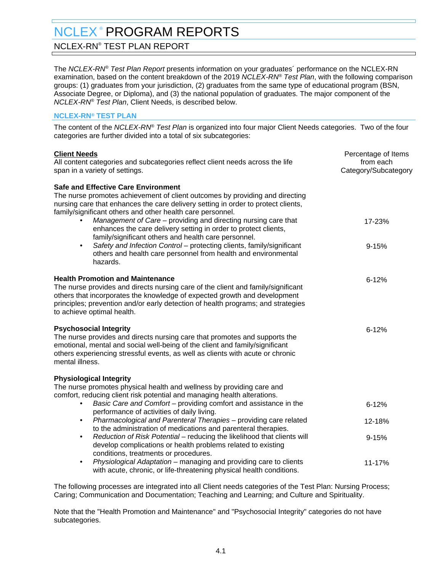# <span id="page-11-0"></span>NCLEX-RN® TEST PLAN REPORT

The NCLEX-RN® Test Plan Report presents information on your graduates´ performance on the NCLEX-RN examination, based on the content breakdown of the 2019 NCLEX-RN® Test Plan, with the following comparison groups: (1) graduates from your jurisdiction, (2) graduates from the same type of educational program (BSN, Associate Degree, or Diploma), and (3) the national population of graduates. The major component of the NCLEX-RN® Test Plan, Client Needs, is described below.

### **NCLEX-RN® TEST PLAN**

The content of the NCLEX-RN® Test Plan is organized into four major Client Needs categories. Two of the four categories are further divided into a total of six subcategories:

| <b>Client Needs</b><br>All content categories and subcategories reflect client needs across the life<br>span in a variety of settings.                                                                                                                                                                                                                                                                                                                                                                                                                                                                                                         | Percentage of Items<br>from each<br>Category/Subcategory |
|------------------------------------------------------------------------------------------------------------------------------------------------------------------------------------------------------------------------------------------------------------------------------------------------------------------------------------------------------------------------------------------------------------------------------------------------------------------------------------------------------------------------------------------------------------------------------------------------------------------------------------------------|----------------------------------------------------------|
| <b>Safe and Effective Care Environment</b><br>The nurse promotes achievement of client outcomes by providing and directing<br>nursing care that enhances the care delivery setting in order to protect clients,<br>family/significant others and other health care personnel.<br>Management of Care - providing and directing nursing care that<br>enhances the care delivery setting in order to protect clients,<br>family/significant others and health care personnel.<br>Safety and Infection Control - protecting clients, family/significant<br>$\bullet$<br>others and health care personnel from health and environmental<br>hazards. | 17-23%<br>$9 - 15%$                                      |
| <b>Health Promotion and Maintenance</b><br>The nurse provides and directs nursing care of the client and family/significant<br>others that incorporates the knowledge of expected growth and development<br>principles; prevention and/or early detection of health programs; and strategies<br>to achieve optimal health.                                                                                                                                                                                                                                                                                                                     | $6 - 12%$                                                |
| <b>Psychosocial Integrity</b><br>The nurse provides and directs nursing care that promotes and supports the<br>emotional, mental and social well-being of the client and family/significant<br>others experiencing stressful events, as well as clients with acute or chronic<br>mental illness.                                                                                                                                                                                                                                                                                                                                               | $6 - 12%$                                                |
| <b>Physiological Integrity</b><br>The nurse promotes physical health and wellness by providing care and<br>comfort, reducing client risk potential and managing health alterations.<br>Basic Care and Comfort - providing comfort and assistance in the<br>$\bullet$                                                                                                                                                                                                                                                                                                                                                                           | $6 - 12%$                                                |
| performance of activities of daily living.<br>Pharmacological and Parenteral Therapies - providing care related<br>$\bullet$                                                                                                                                                                                                                                                                                                                                                                                                                                                                                                                   | 12-18%                                                   |
| to the administration of medications and parenteral therapies.<br>Reduction of Risk Potential - reducing the likelihood that clients will<br>$\bullet$<br>develop complications or health problems related to existing<br>conditions, treatments or procedures.                                                                                                                                                                                                                                                                                                                                                                                | $9 - 15%$                                                |
| Physiological Adaptation - managing and providing care to clients<br>$\bullet$<br>with acute, chronic, or life-threatening physical health conditions.                                                                                                                                                                                                                                                                                                                                                                                                                                                                                         | 11-17%                                                   |
|                                                                                                                                                                                                                                                                                                                                                                                                                                                                                                                                                                                                                                                |                                                          |

The following processes are integrated into all Client needs categories of the Test Plan: Nursing Process; Caring; Communication and Documentation; Teaching and Learning; and Culture and Spirituality.

Note that the "Health Promotion and Maintenance" and "Psychosocial Integrity" categories do not have subcategories.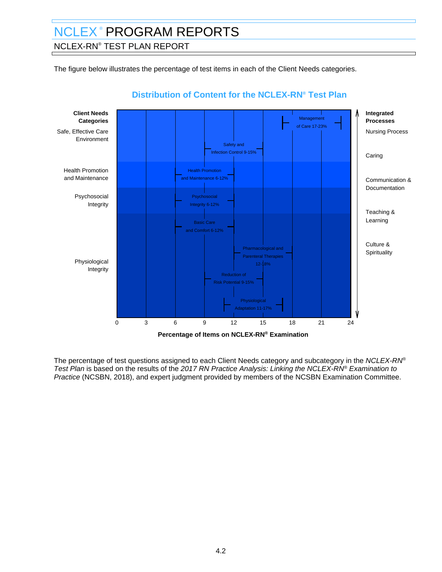# NCLEX-RN® TEST PLAN REPORT

The figure below illustrates the percentage of test items in each of the Client Needs categories.



# **Distribution of Content for the NCLEX-RN® Test Plan**

The percentage of test questions assigned to each Client Needs category and subcategory in the NCLEX-RN® Test Plan is based on the results of the 2017 RN Practice Analysis: Linking the NCLEX-RN® Examination to Practice (NCSBN, 2018), and expert judgment provided by members of the NCSBN Examination Committee.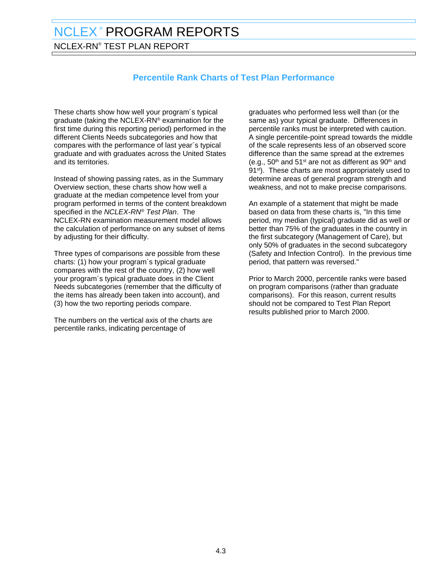NCLEX-RN® TEST PLAN REPORT

# **Percentile Rank Charts of Test Plan Performance**

These charts show how well your program´s typical graduate (taking the NCLEX-RN® examination for the first time during this reporting period) performed in the different Clients Needs subcategories and how that compares with the performance of last year´s typical graduate and with graduates across the United States and its territories.

Instead of showing passing rates, as in the Summary Overview section, these charts show how well a graduate at the median competence level from your program performed in terms of the content breakdown specified in the NCLEX-RN® Test Plan. The NCLEX-RN examination measurement model allows the calculation of performance on any subset of items by adjusting for their difficulty.

Three types of comparisons are possible from these charts: (1) how your program´s typical graduate compares with the rest of the country, (2) how well your program´s typical graduate does in the Client Needs subcategories (remember that the difficulty of the items has already been taken into account), and (3) how the two reporting periods compare.

The numbers on the vertical axis of the charts are percentile ranks, indicating percentage of

graduates who performed less well than (or the same as) your typical graduate. Differences in percentile ranks must be interpreted with caution. A single percentile-point spread towards the middle of the scale represents less of an observed score difference than the same spread at the extremes (e.g.,  $50<sup>th</sup>$  and  $51<sup>st</sup>$  are not as different as  $90<sup>th</sup>$  and 91<sup>st</sup>). These charts are most appropriately used to determine areas of general program strength and weakness, and not to make precise comparisons.

An example of a statement that might be made based on data from these charts is, "In this time period, my median (typical) graduate did as well or better than 75% of the graduates in the country in the first subcategory (Management of Care), but only 50% of graduates in the second subcategory (Safety and Infection Control). In the previous time period, that pattern was reversed."

Prior to March 2000, percentile ranks were based on program comparisons (rather than graduate comparisons). For this reason, current results should not be compared to Test Plan Report results published prior to March 2000.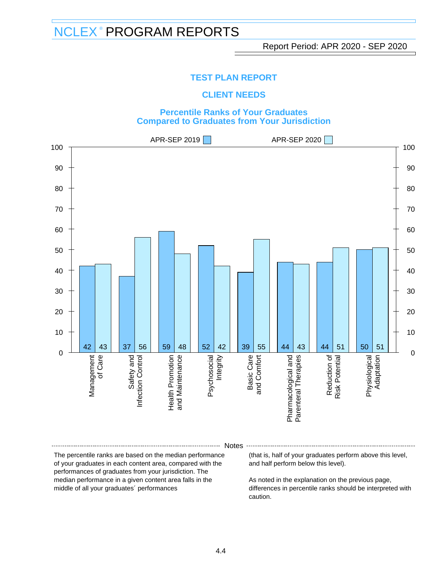### **TEST PLAN REPORT**

### **CLIENT NEEDS**

### **Percentile Ranks of Your Graduates Compared to Graduates from Your Jurisdiction**



#### Notes

The percentile ranks are based on the median performance of your graduates in each content area, compared with the performances of graduates from your jurisdiction. The median performance in a given content area falls in the middle of all your graduates´ performances

(that is, half of your graduates perform above this level, and half perform below this level).

As noted in the explanation on the previous page, differences in percentile ranks should be interpreted with caution.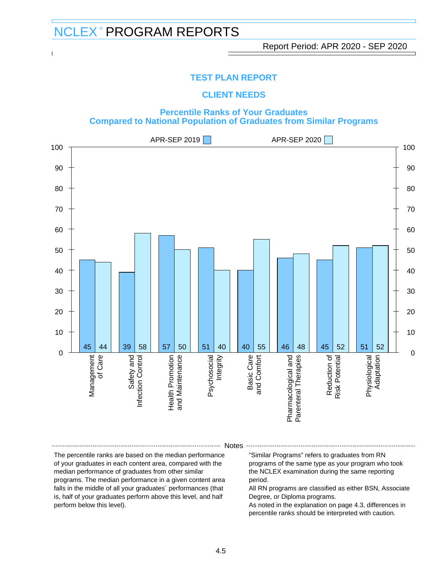<u>Dominican University Of California Report Period: APR 2020 - SEP 2020</u>

### **TEST PLAN REPORT**

### **CLIENT NEEDS**

### **Percentile Ranks of Your Graduates Compared to National Population of Graduates from Similar Programs**



#### **Notes**

The percentile ranks are based on the median performance of your graduates in each content area, compared with the median performance of graduates from other similar programs. The median performance in a given content area falls in the middle of all your graduates´ performances (that is, half of your graduates perform above this level, and half perform below this level).

"Similar Programs" refers to graduates from RN programs of the same type as your program who took the NCLEX examination during the same reporting period.

All RN programs are classified as either BSN, Associate Degree, or Diploma programs.

As noted in the explanation on page 4.3, differences in percentile ranks should be interpreted with caution.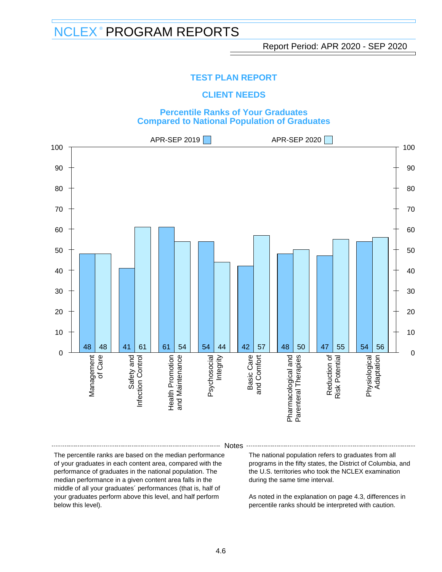### **TEST PLAN REPORT**

### **CLIENT NEEDS**

### **Percentile Ranks of Your Graduates Compared to National Population of Graduates**



#### Notes

The percentile ranks are based on the median performance of your graduates in each content area, compared with the performance of graduates in the national population. The median performance in a given content area falls in the middle of all your graduates´ performances (that is, half of your graduates perform above this level, and half perform below this level).

The national population refers to graduates from all programs in the fifty states, the District of Columbia, and the U.S. territories who took the NCLEX examination during the same time interval.

As noted in the explanation on page 4.3, differences in percentile ranks should be interpreted with caution.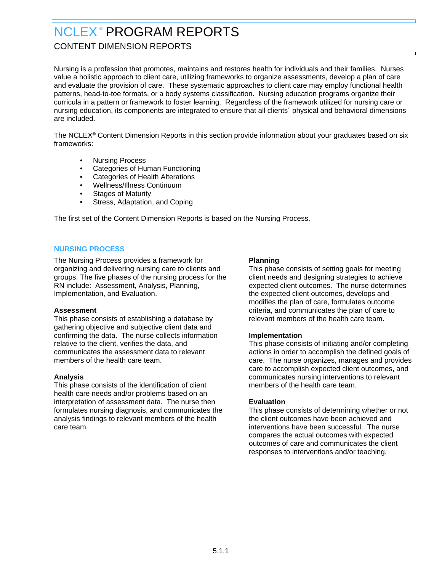# <span id="page-17-0"></span>CONTENT DIMENSION REPORTS

Nursing is a profession that promotes, maintains and restores health for individuals and their families. Nurses value a holistic approach to client care, utilizing frameworks to organize assessments, develop a plan of care and evaluate the provision of care. These systematic approaches to client care may employ functional health patterns, head-to-toe formats, or a body systems classification. Nursing education programs organize their curricula in a pattern or framework to foster learning. Regardless of the framework utilized for nursing care or nursing education, its components are integrated to ensure that all clients´ physical and behavioral dimensions are included.

The NCLEX® Content Dimension Reports in this section provide information about your graduates based on six frameworks:

- Nursing Process
- Categories of Human Functioning
- Categories of Health Alterations
- Wellness/Illness Continuum
- **Stages of Maturity**
- Stress, Adaptation, and Coping

The first set of the Content Dimension Reports is based on the Nursing Process.

#### **NURSING PROCESS**

The Nursing Process provides a framework for organizing and delivering nursing care to clients and groups. The five phases of the nursing process for the RN include: Assessment, Analysis, Planning, Implementation, and Evaluation.

#### **Assessment**

This phase consists of establishing a database by gathering objective and subjective client data and confirming the data. The nurse collects information relative to the client, verifies the data, and communicates the assessment data to relevant members of the health care team.

#### **Analysis**

This phase consists of the identification of client health care needs and/or problems based on an interpretation of assessment data. The nurse then formulates nursing diagnosis, and communicates the analysis findings to relevant members of the health care team.

#### **Planning**

This phase consists of setting goals for meeting client needs and designing strategies to achieve expected client outcomes. The nurse determines the expected client outcomes, develops and modifies the plan of care, formulates outcome criteria, and communicates the plan of care to relevant members of the health care team.

#### **Implementation**

This phase consists of initiating and/or completing actions in order to accomplish the defined goals of care. The nurse organizes, manages and provides care to accomplish expected client outcomes, and communicates nursing interventions to relevant members of the health care team.

#### **Evaluation**

This phase consists of determining whether or not the client outcomes have been achieved and interventions have been successful. The nurse compares the actual outcomes with expected outcomes of care and communicates the client responses to interventions and/or teaching.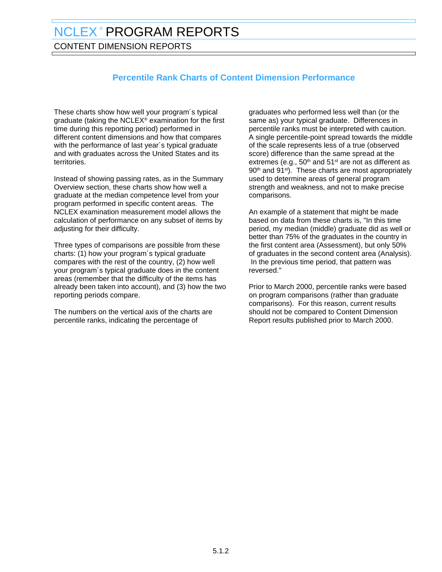CONTENT DIMENSION REPORTS

# **Percentile Rank Charts of Content Dimension Performance**

These charts show how well your program´s typical graduate (taking the NCLEX® examination for the first time during this reporting period) performed in different content dimensions and how that compares with the performance of last year´s typical graduate and with graduates across the United States and its territories.

Instead of showing passing rates, as in the Summary Overview section, these charts show how well a graduate at the median competence level from your program performed in specific content areas. The NCLEX examination measurement model allows the calculation of performance on any subset of items by adjusting for their difficulty.

Three types of comparisons are possible from these charts: (1) how your program´s typical graduate compares with the rest of the country, (2) how well your program´s typical graduate does in the content areas (remember that the difficulty of the items has already been taken into account), and (3) how the two reporting periods compare.

The numbers on the vertical axis of the charts are percentile ranks, indicating the percentage of

graduates who performed less well than (or the same as) your typical graduate. Differences in percentile ranks must be interpreted with caution. A single percentile-point spread towards the middle of the scale represents less of a true (observed score) difference than the same spread at the extremes (e.g.,  $50<sup>th</sup>$  and  $51<sup>st</sup>$  are not as different as 90<sup>th</sup> and 91<sup>st</sup>). These charts are most appropriately used to determine areas of general program strength and weakness, and not to make precise comparisons.

An example of a statement that might be made based on data from these charts is, "In this time period, my median (middle) graduate did as well or better than 75% of the graduates in the country in the first content area (Assessment), but only 50% of graduates in the second content area (Analysis). In the previous time period, that pattern was reversed."

Prior to March 2000, percentile ranks were based on program comparisons (rather than graduate comparisons). For this reason, current results should not be compared to Content Dimension Report results published prior to March 2000.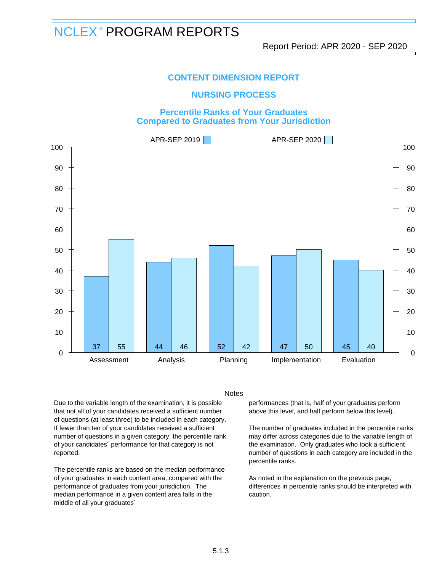### **NURSING PROCESS**

### **Percentile Ranks of Your Graduates Compared to Graduates from Your Jurisdiction**



- Notes -

Due to the variable length of the examination, it is possible that not all of your candidates received a sufficient number of questions (at least three) to be included in each category. If fewer than ten of your candidates received a sufficient number of questions in a given category, the percentile rank of your candidates´ performance for that category is not reported.

The percentile ranks are based on the median performance of your graduates in each content area, compared with the performance of graduates from your jurisdiction. The median performance in a given content area falls in the middle of all your graduates´

performances (that is, half of your graduates perform above this level, and half perform below this level).

The number of graduates included in the percentile ranks may differ across categories due to the variable length of the examination. Only graduates who took a sufficient number of questions in each category are included in the percentile ranks.

As noted in the explanation on the previous page, differences in percentile ranks should be interpreted with caution.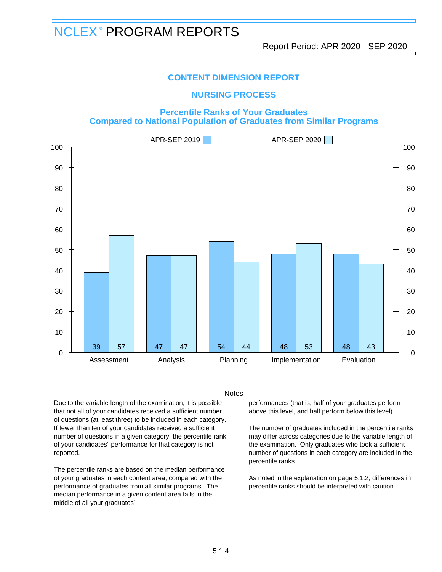### **NURSING PROCESS**

### **Percentile Ranks of Your Graduates Compared to National Population of Graduates from Similar Programs**



- Notes -

Due to the variable length of the examination, it is possible that not all of your candidates received a sufficient number of questions (at least three) to be included in each category. If fewer than ten of your candidates received a sufficient number of questions in a given category, the percentile rank of your candidates´ performance for that category is not reported.

The percentile ranks are based on the median performance of your graduates in each content area, compared with the performance of graduates from all similar programs. The median performance in a given content area falls in the middle of all your graduates´

performances (that is, half of your graduates perform above this level, and half perform below this level).

The number of graduates included in the percentile ranks may differ across categories due to the variable length of the examination. Only graduates who took a sufficient number of questions in each category are included in the percentile ranks.

As noted in the explanation on page 5.1.2, differences in percentile ranks should be interpreted with caution.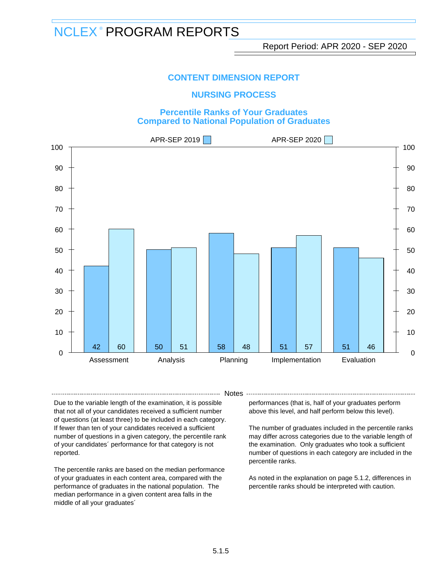### **NURSING PROCESS**

### **Percentile Ranks of Your Graduates Compared to National Population of Graduates**



- Notes -

Due to the variable length of the examination, it is possible that not all of your candidates received a sufficient number of questions (at least three) to be included in each category. If fewer than ten of your candidates received a sufficient number of questions in a given category, the percentile rank of your candidates´ performance for that category is not reported.

The percentile ranks are based on the median performance of your graduates in each content area, compared with the performance of graduates in the national population. The median performance in a given content area falls in the middle of all your graduates´

performances (that is, half of your graduates perform above this level, and half perform below this level).

The number of graduates included in the percentile ranks may differ across categories due to the variable length of the examination. Only graduates who took a sufficient number of questions in each category are included in the percentile ranks.

As noted in the explanation on page 5.1.2, differences in percentile ranks should be interpreted with caution.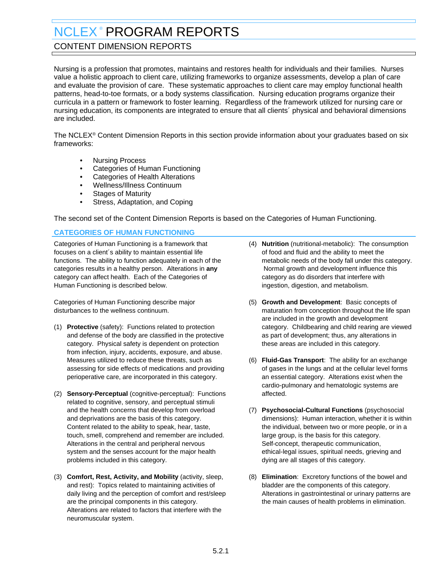# <span id="page-22-0"></span>CONTENT DIMENSION REPORTS

Nursing is a profession that promotes, maintains and restores health for individuals and their families. Nurses value a holistic approach to client care, utilizing frameworks to organize assessments, develop a plan of care and evaluate the provision of care. These systematic approaches to client care may employ functional health patterns, head-to-toe formats, or a body systems classification. Nursing education programs organize their curricula in a pattern or framework to foster learning. Regardless of the framework utilized for nursing care or nursing education, its components are integrated to ensure that all clients´ physical and behavioral dimensions are included.

The NCLEX® Content Dimension Reports in this section provide information about your graduates based on six frameworks:

- Nursing Process
- Categories of Human Functioning
- Categories of Health Alterations
- Wellness/Illness Continuum
- Stages of Maturity
- Stress, Adaptation, and Coping

The second set of the Content Dimension Reports is based on the Categories of Human Functioning.

### **CATEGORIES OF HUMAN FUNCTIONING**

Categories of Human Functioning is a framework that focuses on a client´s ability to maintain essential life functions. The ability to function adequately in each of the categories results in a healthy person. Alterations in **any** category can affect health. Each of the Categories of Human Functioning is described below.

Categories of Human Functioning describe major disturbances to the wellness continuum.

- (1) **Protective** (safety): Functions related to protection and defense of the body are classified in the protective category. Physical safety is dependent on protection from infection, injury, accidents, exposure, and abuse. Measures utilized to reduce these threats, such as assessing for side effects of medications and providing perioperative care, are incorporated in this category.
- (2) **Sensory-Perceptual** (cognitive-perceptual): Functions related to cognitive, sensory, and perceptual stimuli and the health concerns that develop from overload and deprivations are the basis of this category. Content related to the ability to speak, hear, taste, touch, smell, comprehend and remember are included. Alterations in the central and peripheral nervous system and the senses account for the major health problems included in this category.
- (3) **Comfort, Rest, Activity, and Mobility** (activity, sleep, and rest): Topics related to maintaining activities of daily living and the perception of comfort and rest/sleep are the principal components in this category. Alterations are related to factors that interfere with the neuromuscular system.
- (4) **Nutrition** (nutritional-metabolic): The consumption of food and fluid and the ability to meet the metabolic needs of the body fall under this category. Normal growth and development influence this category as do disorders that interfere with ingestion, digestion, and metabolism.
- (5) **Growth and Development**: Basic concepts of maturation from conception throughout the life span are included in the growth and development category. Childbearing and child rearing are viewed as part of development; thus, any alterations in these areas are included in this category.
- (6) **Fluid-Gas Transport**: The ability for an exchange of gases in the lungs and at the cellular level forms an essential category. Alterations exist when the cardio-pulmonary and hematologic systems are affected.
- (7) **Psychosocial-Cultural Functions** (psychosocial dimensions): Human interaction, whether it is within the individual, between two or more people, or in a large group, is the basis for this category. Self-concept, therapeutic communication, ethical-legal issues, spiritual needs, grieving and dying are all stages of this category.
- (8) **Elimination**: Excretory functions of the bowel and bladder are the components of this category. Alterations in gastrointestinal or urinary patterns are the main causes of health problems in elimination.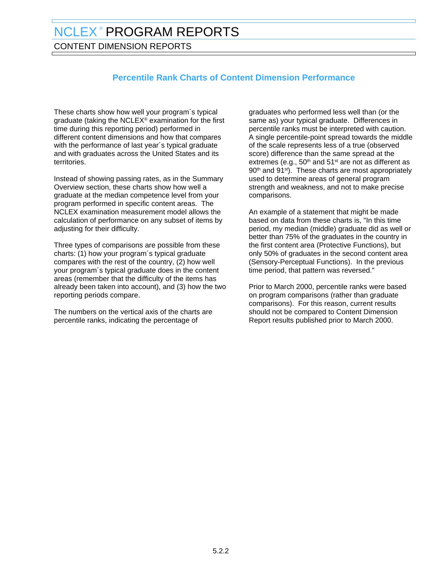CONTENT DIMENSION REPORTS

# **Percentile Rank Charts of Content Dimension Performance**

These charts show how well your program´s typical graduate (taking the NCLEX® examination for the first time during this reporting period) performed in different content dimensions and how that compares with the performance of last year´s typical graduate and with graduates across the United States and its territories.

Instead of showing passing rates, as in the Summary Overview section, these charts show how well a graduate at the median competence level from your program performed in specific content areas. The NCLEX examination measurement model allows the calculation of performance on any subset of items by adjusting for their difficulty.

Three types of comparisons are possible from these charts: (1) how your program´s typical graduate compares with the rest of the country, (2) how well your program´s typical graduate does in the content areas (remember that the difficulty of the items has already been taken into account), and (3) how the two reporting periods compare.

The numbers on the vertical axis of the charts are percentile ranks, indicating the percentage of

graduates who performed less well than (or the same as) your typical graduate. Differences in percentile ranks must be interpreted with caution. A single percentile-point spread towards the middle of the scale represents less of a true (observed score) difference than the same spread at the extremes (e.g.,  $50<sup>th</sup>$  and  $51<sup>st</sup>$  are not as different as 90<sup>th</sup> and 91<sup>st</sup>). These charts are most appropriately used to determine areas of general program strength and weakness, and not to make precise comparisons.

An example of a statement that might be made based on data from these charts is, "In this time period, my median (middle) graduate did as well or better than 75% of the graduates in the country in the first content area (Protective Functions), but only 50% of graduates in the second content area (Sensory-Perceptual Functions). In the previous time period, that pattern was reversed."

Prior to March 2000, percentile ranks were based on program comparisons (rather than graduate comparisons). For this reason, current results should not be compared to Content Dimension Report results published prior to March 2000.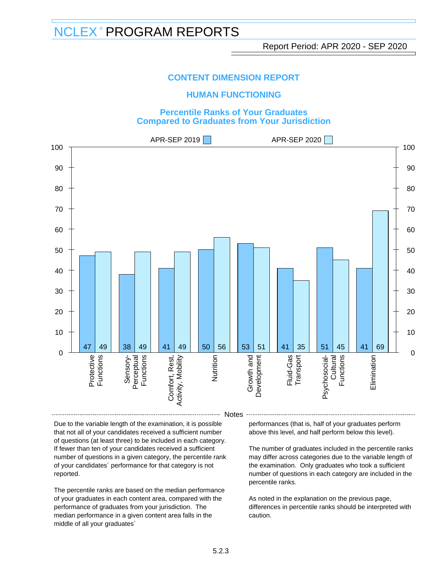### **HUMAN FUNCTIONING**

#### **Percentile Ranks of Your Graduates Compared to Graduates from Your Jurisdiction**



Due to the variable length of the examination, it is possible that not all of your candidates received a sufficient number of questions (at least three) to be included in each category. If fewer than ten of your candidates received a sufficient number of questions in a given category, the percentile rank of your candidates´ performance for that category is not reported.

The percentile ranks are based on the median performance of your graduates in each content area, compared with the performance of graduates from your jurisdiction. The median performance in a given content area falls in the middle of all your graduates´

performances (that is, half of your graduates perform above this level, and half perform below this level).

The number of graduates included in the percentile ranks may differ across categories due to the variable length of the examination. Only graduates who took a sufficient number of questions in each category are included in the percentile ranks.

As noted in the explanation on the previous page, differences in percentile ranks should be interpreted with caution.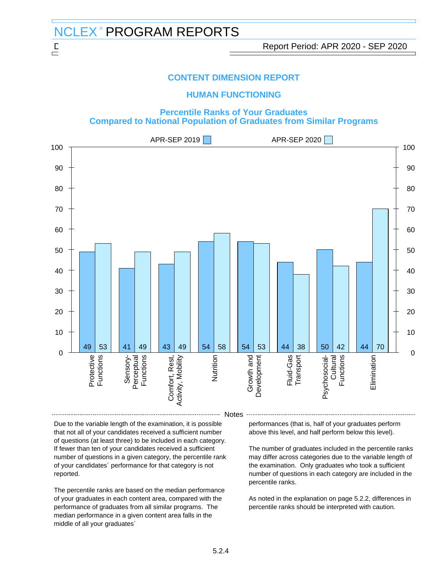### **HUMAN FUNCTIONING**

#### **Percentile Ranks of Your Graduates Compared to National Population of Graduates from Similar Programs**



Due to the variable length of the examination, it is possible that not all of your candidates received a sufficient number of questions (at least three) to be included in each category. If fewer than ten of your candidates received a sufficient number of questions in a given category, the percentile rank of your candidates´ performance for that category is not reported.

The percentile ranks are based on the median performance of your graduates in each content area, compared with the performance of graduates from all similar programs. The median performance in a given content area falls in the middle of all your graduates´

performances (that is, half of your graduates perform above this level, and half perform below this level).

The number of graduates included in the percentile ranks may differ across categories due to the variable length of the examination. Only graduates who took a sufficient number of questions in each category are included in the percentile ranks.

As noted in the explanation on page 5.2.2, differences in percentile ranks should be interpreted with caution.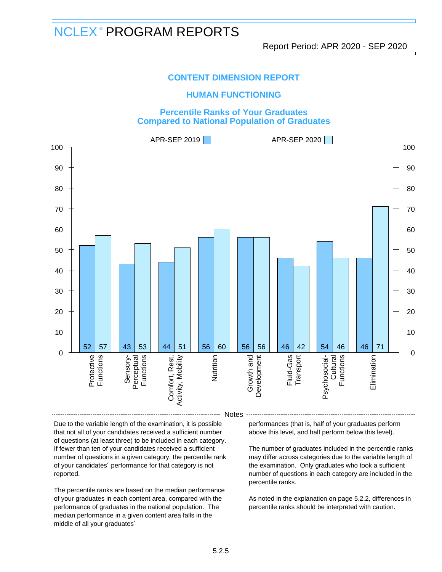### **HUMAN FUNCTIONING**

#### **Percentile Ranks of Your Graduates Compared to National Population of Graduates**



Due to the variable length of the examination, it is possible that not all of your candidates received a sufficient number of questions (at least three) to be included in each category. If fewer than ten of your candidates received a sufficient number of questions in a given category, the percentile rank of your candidates´ performance for that category is not reported.

The percentile ranks are based on the median performance of your graduates in each content area, compared with the performance of graduates in the national population. The median performance in a given content area falls in the middle of all your graduates´

performances (that is, half of your graduates perform above this level, and half perform below this level).

The number of graduates included in the percentile ranks may differ across categories due to the variable length of the examination. Only graduates who took a sufficient number of questions in each category are included in the percentile ranks.

As noted in the explanation on page 5.2.2, differences in percentile ranks should be interpreted with caution.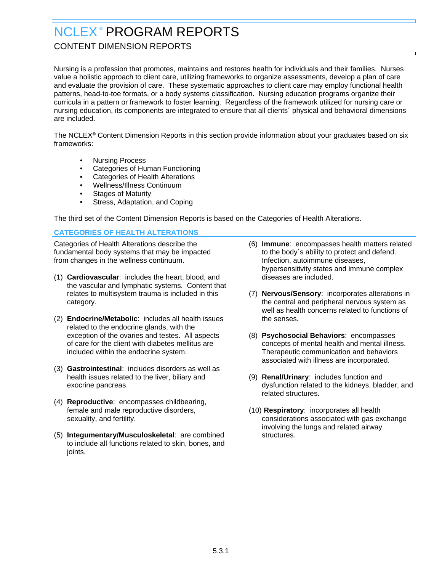## <span id="page-27-0"></span>CONTENT DIMENSION REPORTS

Nursing is a profession that promotes, maintains and restores health for individuals and their families. Nurses value a holistic approach to client care, utilizing frameworks to organize assessments, develop a plan of care and evaluate the provision of care. These systematic approaches to client care may employ functional health patterns, head-to-toe formats, or a body systems classification. Nursing education programs organize their curricula in a pattern or framework to foster learning. Regardless of the framework utilized for nursing care or nursing education, its components are integrated to ensure that all clients´ physical and behavioral dimensions are included.

The NCLEX® Content Dimension Reports in this section provide information about your graduates based on six frameworks:

- Nursing Process
- Categories of Human Functioning
- Categories of Health Alterations
- Wellness/Illness Continuum
- **Stages of Maturity**
- Stress, Adaptation, and Coping

The third set of the Content Dimension Reports is based on the Categories of Health Alterations.

### **CATEGORIES OF HEALTH ALTERATIONS**

Categories of Health Alterations describe the fundamental body systems that may be impacted from changes in the wellness continuum.

- (1) **Cardiovascular**: includes the heart, blood, and the vascular and lymphatic systems. Content that relates to multisystem trauma is included in this category.
- (2) **Endocrine/Metabolic**: includes all health issues related to the endocrine glands, with the exception of the ovaries and testes. All aspects of care for the client with diabetes mellitus are included within the endocrine system.
- (3) **Gastrointestinal**: includes disorders as well as health issues related to the liver, biliary and exocrine pancreas.
- (4) **Reproductive**: encompasses childbearing, female and male reproductive disorders, sexuality, and fertility.
- (5) **Integumentary/Musculoskeletal**: are combined to include all functions related to skin, bones, and joints.
- (6) **Immune**: encompasses health matters related to the body´s ability to protect and defend. Infection, autoimmune diseases, hypersensitivity states and immune complex diseases are included.
- (7) **Nervous/Sensory**: incorporates alterations in the central and peripheral nervous system as well as health concerns related to functions of the senses.
- (8) **Psychosocial Behaviors**: encompasses concepts of mental health and mental illness. Therapeutic communication and behaviors associated with illness are incorporated.
- (9) **Renal/Urinary**: includes function and dysfunction related to the kidneys, bladder, and related structures.
- (10) **Respiratory**: incorporates all health considerations associated with gas exchange involving the lungs and related airway structures.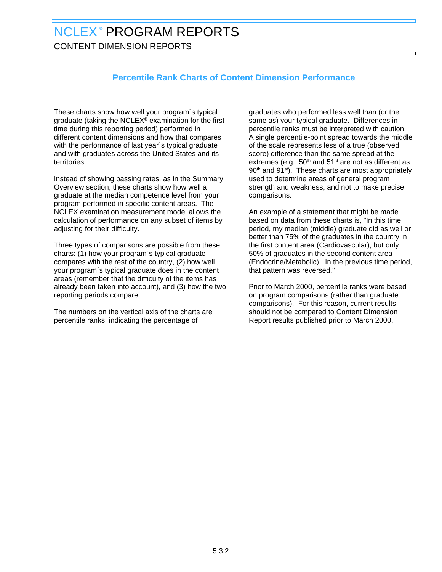CONTENT DIMENSION REPORTS

# **Percentile Rank Charts of Content Dimension Performance**

These charts show how well your program´s typical graduate (taking the NCLEX® examination for the first time during this reporting period) performed in different content dimensions and how that compares with the performance of last year´s typical graduate and with graduates across the United States and its territories.

Instead of showing passing rates, as in the Summary Overview section, these charts show how well a graduate at the median competence level from your program performed in specific content areas. The NCLEX examination measurement model allows the calculation of performance on any subset of items by adjusting for their difficulty.

Three types of comparisons are possible from these charts: (1) how your program´s typical graduate compares with the rest of the country, (2) how well your program´s typical graduate does in the content areas (remember that the difficulty of the items has already been taken into account), and (3) how the two reporting periods compare.

The numbers on the vertical axis of the charts are percentile ranks, indicating the percentage of

graduates who performed less well than (or the same as) your typical graduate. Differences in percentile ranks must be interpreted with caution. A single percentile-point spread towards the middle of the scale represents less of a true (observed score) difference than the same spread at the extremes (e.g.,  $50<sup>th</sup>$  and  $51<sup>st</sup>$  are not as different as 90<sup>th</sup> and 91<sup>st</sup>). These charts are most appropriately used to determine areas of general program strength and weakness, and not to make precise comparisons.

An example of a statement that might be made based on data from these charts is, "In this time period, my median (middle) graduate did as well or better than 75% of the graduates in the country in the first content area (Cardiovascular), but only 50% of graduates in the second content area (Endocrine/Metabolic). In the previous time period, that pattern was reversed."

Prior to March 2000, percentile ranks were based on program comparisons (rather than graduate comparisons). For this reason, current results should not be compared to Content Dimension Report results published prior to March 2000.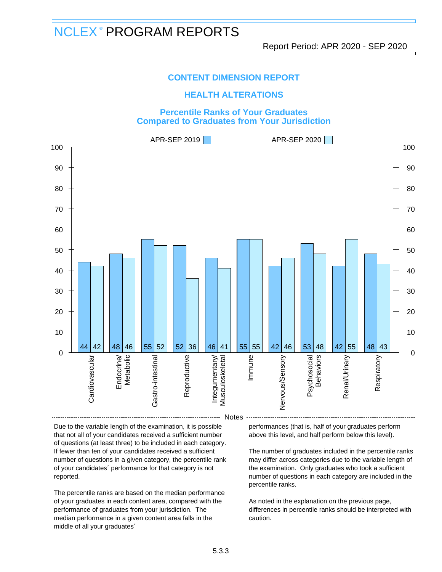### **HEALTH ALTERATIONS**

#### **Percentile Ranks of Your Graduates Compared to Graduates from Your Jurisdiction**



Due to the variable length of the examination, it is possible that not all of your candidates received a sufficient number of questions (at least three) to be included in each category. If fewer than ten of your candidates received a sufficient number of questions in a given category, the percentile rank of your candidates´ performance for that category is not reported.

The percentile ranks are based on the median performance of your graduates in each content area, compared with the performance of graduates from your jurisdiction. The median performance in a given content area falls in the middle of all your graduates´

performances (that is, half of your graduates perform above this level, and half perform below this level).

The number of graduates included in the percentile ranks may differ across categories due to the variable length of the examination. Only graduates who took a sufficient number of questions in each category are included in the percentile ranks.

As noted in the explanation on the previous page, differences in percentile ranks should be interpreted with caution.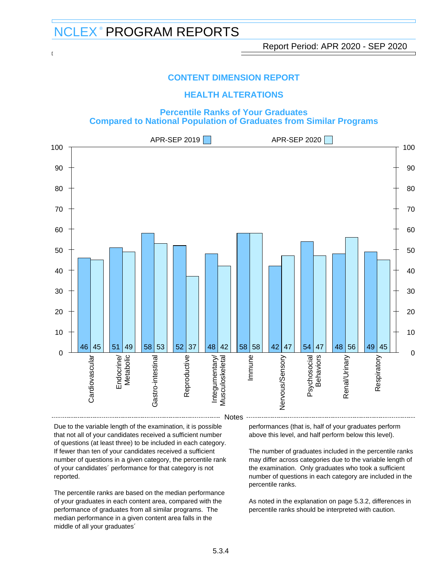### **HEALTH ALTERATIONS**

#### **Percentile Ranks of Your Graduates Compared to National Population of Graduates from Similar Programs**



Due to the variable length of the examination, it is possible that not all of your candidates received a sufficient number of questions (at least three) to be included in each category. If fewer than ten of your candidates received a sufficient number of questions in a given category, the percentile rank of your candidates´ performance for that category is not reported.

The percentile ranks are based on the median performance of your graduates in each content area, compared with the performance of graduates from all similar programs. The median performance in a given content area falls in the middle of all your graduates´

performances (that is, half of your graduates perform above this level, and half perform below this level).

The number of graduates included in the percentile ranks may differ across categories due to the variable length of the examination. Only graduates who took a sufficient number of questions in each category are included in the percentile ranks.

As noted in the explanation on page 5.3.2, differences in percentile ranks should be interpreted with caution.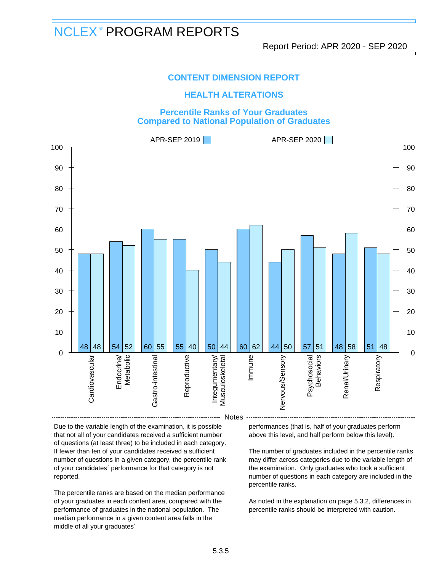### **HEALTH ALTERATIONS**

#### **Percentile Ranks of Your Graduates Compared to National Population of Graduates**



Due to the variable length of the examination, it is possible that not all of your candidates received a sufficient number of questions (at least three) to be included in each category. If fewer than ten of your candidates received a sufficient number of questions in a given category, the percentile rank of your candidates´ performance for that category is not reported.

The percentile ranks are based on the median performance of your graduates in each content area, compared with the performance of graduates in the national population. The median performance in a given content area falls in the middle of all your graduates´

performances (that is, half of your graduates perform above this level, and half perform below this level).

The number of graduates included in the percentile ranks may differ across categories due to the variable length of the examination. Only graduates who took a sufficient number of questions in each category are included in the percentile ranks.

As noted in the explanation on page 5.3.2, differences in percentile ranks should be interpreted with caution.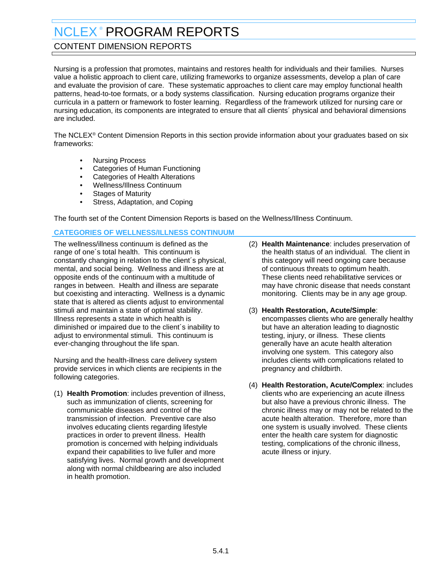## <span id="page-32-0"></span>CONTENT DIMENSION REPORTS

Nursing is a profession that promotes, maintains and restores health for individuals and their families. Nurses value a holistic approach to client care, utilizing frameworks to organize assessments, develop a plan of care and evaluate the provision of care. These systematic approaches to client care may employ functional health patterns, head-to-toe formats, or a body systems classification. Nursing education programs organize their curricula in a pattern or framework to foster learning. Regardless of the framework utilized for nursing care or nursing education, its components are integrated to ensure that all clients´ physical and behavioral dimensions are included.

The NCLEX® Content Dimension Reports in this section provide information about your graduates based on six frameworks:

- Nursing Process
- Categories of Human Functioning
- Categories of Health Alterations
- Wellness/Illness Continuum
- **Stages of Maturity**
- Stress, Adaptation, and Coping

The fourth set of the Content Dimension Reports is based on the Wellness/Illness Continuum.

### **CATEGORIES OF WELLNESS/ILLNESS CONTINUUM**

The wellness/illness continuum is defined as the range of one´s total health. This continuum is constantly changing in relation to the client´s physical, mental, and social being. Wellness and illness are at opposite ends of the continuum with a multitude of ranges in between. Health and illness are separate but coexisting and interacting. Wellness is a dynamic state that is altered as clients adjust to environmental stimuli and maintain a state of optimal stability. Illness represents a state in which health is diminished or impaired due to the client´s inability to adiust to environmental stimuli. This continuum is ever-changing throughout the life span.

Nursing and the health-illness care delivery system provide services in which clients are recipients in the following categories.

(1) **Health Promotion**: includes prevention of illness, such as immunization of clients, screening for communicable diseases and control of the transmission of infection. Preventive care also involves educating clients regarding lifestyle practices in order to prevent illness. Health promotion is concerned with helping individuals expand their capabilities to live fuller and more satisfying lives. Normal growth and development along with normal childbearing are also included in health promotion.

- (2) **Health Maintenance**: includes preservation of the health status of an individual. The client in this category will need ongoing care because of continuous threats to optimum health. These clients need rehabilitative services or may have chronic disease that needs constant monitoring. Clients may be in any age group.
- (3) **Health Restoration, Acute/Simple**: encompasses clients who are generally healthy but have an alteration leading to diagnostic testing, injury, or illness. These clients generally have an acute health alteration involving one system. This category also includes clients with complications related to pregnancy and childbirth.
- (4) **Health Restoration, Acute/Complex**: includes clients who are experiencing an acute illness but also have a previous chronic illness. The chronic illness may or may not be related to the acute health alteration. Therefore, more than one system is usually involved. These clients enter the health care system for diagnostic testing, complications of the chronic illness, acute illness or injury.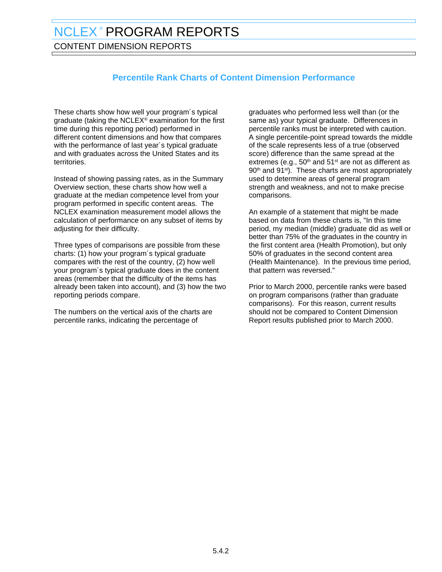CONTENT DIMENSION REPORTS

# **Percentile Rank Charts of Content Dimension Performance**

These charts show how well your program´s typical graduate (taking the NCLEX® examination for the first time during this reporting period) performed in different content dimensions and how that compares with the performance of last year´s typical graduate and with graduates across the United States and its territories.

Instead of showing passing rates, as in the Summary Overview section, these charts show how well a graduate at the median competence level from your program performed in specific content areas. The NCLEX examination measurement model allows the calculation of performance on any subset of items by adjusting for their difficulty.

Three types of comparisons are possible from these charts: (1) how your program´s typical graduate compares with the rest of the country, (2) how well your program´s typical graduate does in the content areas (remember that the difficulty of the items has already been taken into account), and (3) how the two reporting periods compare.

The numbers on the vertical axis of the charts are percentile ranks, indicating the percentage of

graduates who performed less well than (or the same as) your typical graduate. Differences in percentile ranks must be interpreted with caution. A single percentile-point spread towards the middle of the scale represents less of a true (observed score) difference than the same spread at the extremes (e.g.,  $50<sup>th</sup>$  and  $51<sup>st</sup>$  are not as different as 90<sup>th</sup> and 91<sup>st</sup>). These charts are most appropriately used to determine areas of general program strength and weakness, and not to make precise comparisons.

An example of a statement that might be made based on data from these charts is, "In this time period, my median (middle) graduate did as well or better than 75% of the graduates in the country in the first content area (Health Promotion), but only 50% of graduates in the second content area (Health Maintenance). In the previous time period, that pattern was reversed."

Prior to March 2000, percentile ranks were based on program comparisons (rather than graduate comparisons). For this reason, current results should not be compared to Content Dimension Report results published prior to March 2000.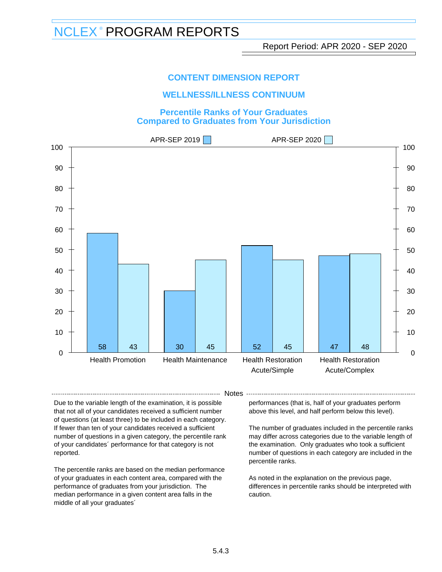### **WELLNESS/ILLNESS CONTINUUM**

#### **Percentile Ranks of Your Graduates Compared to Graduates from Your Jurisdiction**



- Notes -

Due to the variable length of the examination, it is possible that not all of your candidates received a sufficient number of questions (at least three) to be included in each category. If fewer than ten of your candidates received a sufficient number of questions in a given category, the percentile rank of your candidates´ performance for that category is not reported.

The percentile ranks are based on the median performance of your graduates in each content area, compared with the performance of graduates from your jurisdiction. The median performance in a given content area falls in the middle of all your graduates´

performances (that is, half of your graduates perform above this level, and half perform below this level).

The number of graduates included in the percentile ranks may differ across categories due to the variable length of the examination. Only graduates who took a sufficient number of questions in each category are included in the percentile ranks.

As noted in the explanation on the previous page, differences in percentile ranks should be interpreted with caution.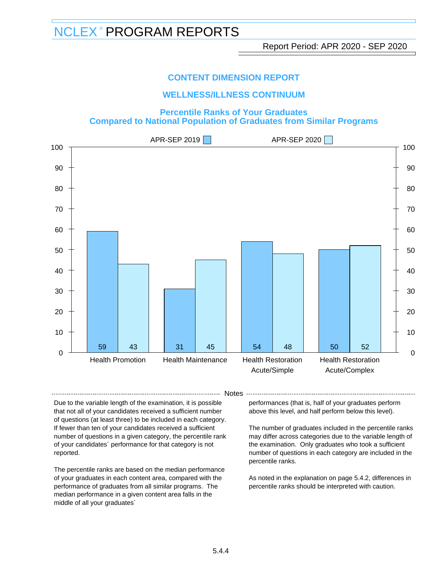### **CONTENT DIMENSION REPORT**

### **WELLNESS/ILLNESS CONTINUUM**

**Percentile Ranks of Your Graduates Compared to National Population of Graduates from Similar Programs**



- Notes -

Due to the variable length of the examination, it is possible that not all of your candidates received a sufficient number of questions (at least three) to be included in each category. If fewer than ten of your candidates received a sufficient number of questions in a given category, the percentile rank of your candidates´ performance for that category is not reported.

The percentile ranks are based on the median performance of your graduates in each content area, compared with the performance of graduates from all similar programs. The median performance in a given content area falls in the middle of all your graduates´

performances (that is, half of your graduates perform above this level, and half perform below this level).

The number of graduates included in the percentile ranks may differ across categories due to the variable length of the examination. Only graduates who took a sufficient number of questions in each category are included in the percentile ranks.

As noted in the explanation on page 5.4.2, differences in percentile ranks should be interpreted with caution.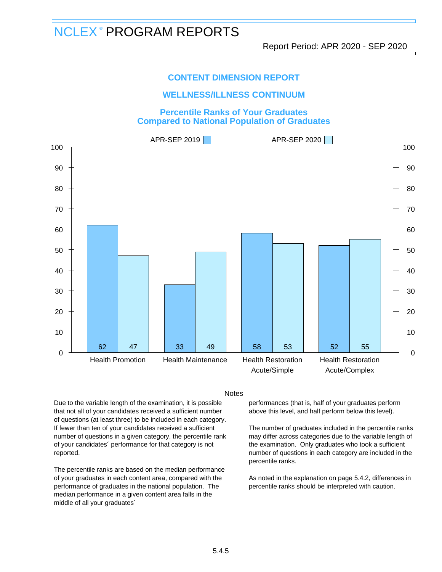### **WELLNESS/ILLNESS CONTINUUM**

### **Percentile Ranks of Your Graduates Compared to National Population of Graduates**



- Notes -

Due to the variable length of the examination, it is possible that not all of your candidates received a sufficient number of questions (at least three) to be included in each category. If fewer than ten of your candidates received a sufficient number of questions in a given category, the percentile rank of your candidates´ performance for that category is not reported.

The percentile ranks are based on the median performance of your graduates in each content area, compared with the performance of graduates in the national population. The median performance in a given content area falls in the middle of all your graduates´

performances (that is, half of your graduates perform above this level, and half perform below this level).

The number of graduates included in the percentile ranks may differ across categories due to the variable length of the examination. Only graduates who took a sufficient number of questions in each category are included in the percentile ranks.

As noted in the explanation on page 5.4.2, differences in percentile ranks should be interpreted with caution.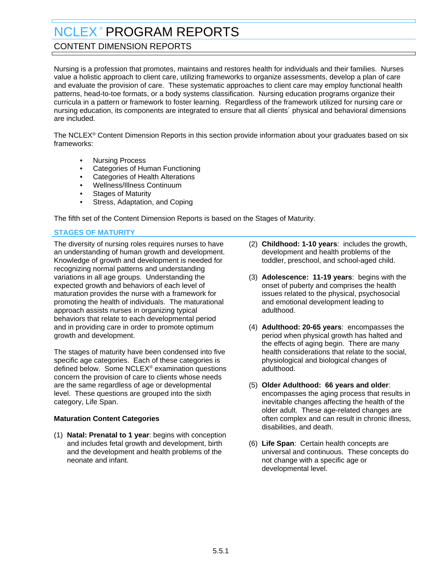# <span id="page-37-0"></span>CONTENT DIMENSION REPORTS

Nursing is a profession that promotes, maintains and restores health for individuals and their families. Nurses value a holistic approach to client care, utilizing frameworks to organize assessments, develop a plan of care and evaluate the provision of care. These systematic approaches to client care may employ functional health patterns, head-to-toe formats, or a body systems classification. Nursing education programs organize their curricula in a pattern or framework to foster learning. Regardless of the framework utilized for nursing care or nursing education, its components are integrated to ensure that all clients´ physical and behavioral dimensions are included.

The NCLEX® Content Dimension Reports in this section provide information about your graduates based on six frameworks:

- Nursing Process
- Categories of Human Functioning
- Categories of Health Alterations
- Wellness/Illness Continuum
- **Stages of Maturity**
- Stress, Adaptation, and Coping

The fifth set of the Content Dimension Reports is based on the Stages of Maturity.

### **STAGES OF MATURITY**

The diversity of nursing roles requires nurses to have an understanding of human growth and development. Knowledge of growth and development is needed for recognizing normal patterns and understanding variations in all age groups. Understanding the expected growth and behaviors of each level of maturation provides the nurse with a framework for promoting the health of individuals. The maturational approach assists nurses in organizing typical behaviors that relate to each developmental period and in providing care in order to promote optimum growth and development.

The stages of maturity have been condensed into five specific age categories. Each of these categories is defined below. Some NCLEX® examination questions concern the provision of care to clients whose needs are the same regardless of age or developmental level. These questions are grouped into the sixth category, Life Span.

#### **Maturation Content Categories**

(1) **Natal: Prenatal to 1 year**: begins with conception and includes fetal growth and development, birth and the development and health problems of the neonate and infant.

- (2) **Childhood: 1-10 years**: includes the growth, development and health problems of the toddler, preschool, and school-aged child.
- (3) **Adolescence: 11-19 years**: begins with the onset of puberty and comprises the health issues related to the physical, psychosocial and emotional development leading to adulthood.
- (4) **Adulthood: 20-65 years**: encompasses the period when physical growth has halted and the effects of aging begin. There are many health considerations that relate to the social, physiological and biological changes of adulthood.
- (5) **Older Adulthood: 66 years and older**: encompasses the aging process that results in inevitable changes affecting the health of the older adult. These age-related changes are often complex and can result in chronic illness, disabilities, and death.
- (6) **Life Span**: Certain health concepts are universal and continuous. These concepts do not change with a specific age or developmental level.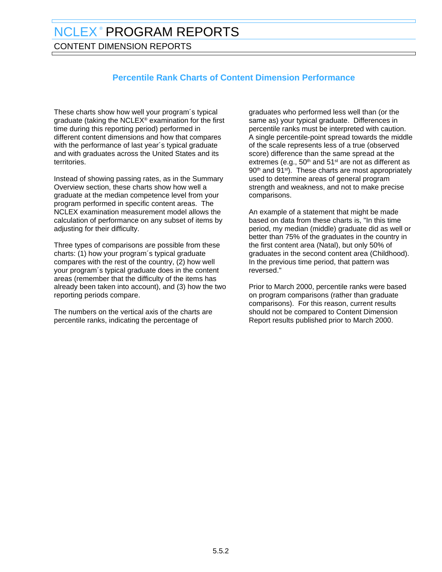CONTENT DIMENSION REPORTS

# **Percentile Rank Charts of Content Dimension Performance**

These charts show how well your program´s typical graduate (taking the NCLEX® examination for the first time during this reporting period) performed in different content dimensions and how that compares with the performance of last year´s typical graduate and with graduates across the United States and its territories.

Instead of showing passing rates, as in the Summary Overview section, these charts show how well a graduate at the median competence level from your program performed in specific content areas. The NCLEX examination measurement model allows the calculation of performance on any subset of items by adjusting for their difficulty.

Three types of comparisons are possible from these charts: (1) how your program´s typical graduate compares with the rest of the country, (2) how well your program´s typical graduate does in the content areas (remember that the difficulty of the items has already been taken into account), and (3) how the two reporting periods compare.

The numbers on the vertical axis of the charts are percentile ranks, indicating the percentage of

graduates who performed less well than (or the same as) your typical graduate. Differences in percentile ranks must be interpreted with caution. A single percentile-point spread towards the middle of the scale represents less of a true (observed score) difference than the same spread at the extremes (e.g.,  $50<sup>th</sup>$  and  $51<sup>st</sup>$  are not as different as 90<sup>th</sup> and 91<sup>st</sup>). These charts are most appropriately used to determine areas of general program strength and weakness, and not to make precise comparisons.

An example of a statement that might be made based on data from these charts is, "In this time period, my median (middle) graduate did as well or better than 75% of the graduates in the country in the first content area (Natal), but only 50% of graduates in the second content area (Childhood). In the previous time period, that pattern was reversed."

Prior to March 2000, percentile ranks were based on program comparisons (rather than graduate comparisons). For this reason, current results should not be compared to Content Dimension Report results published prior to March 2000.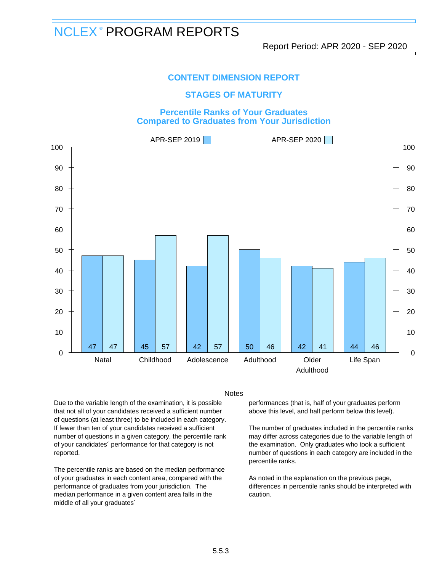### **STAGES OF MATURITY**

### **Percentile Ranks of Your Graduates Compared to Graduates from Your Jurisdiction**



- Notes -

Due to the variable length of the examination, it is possible that not all of your candidates received a sufficient number of questions (at least three) to be included in each category. If fewer than ten of your candidates received a sufficient number of questions in a given category, the percentile rank of your candidates´ performance for that category is not reported.

The percentile ranks are based on the median performance of your graduates in each content area, compared with the performance of graduates from your jurisdiction. The median performance in a given content area falls in the middle of all your graduates´

performances (that is, half of your graduates perform above this level, and half perform below this level).

The number of graduates included in the percentile ranks may differ across categories due to the variable length of the examination. Only graduates who took a sufficient number of questions in each category are included in the percentile ranks.

As noted in the explanation on the previous page, differences in percentile ranks should be interpreted with caution.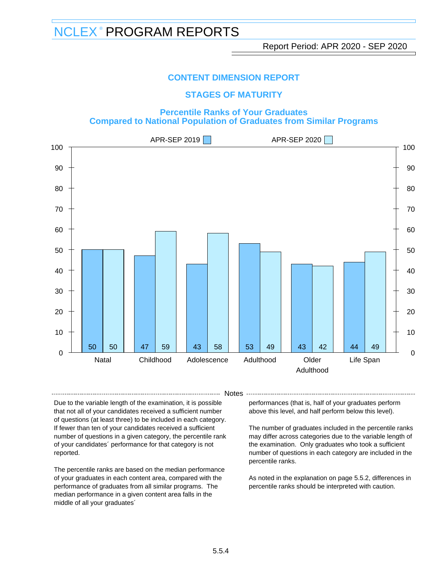### **STAGES OF MATURITY**

### **Percentile Ranks of Your Graduates Compared to National Population of Graduates from Similar Programs**



- Notes -

Due to the variable length of the examination, it is possible that not all of your candidates received a sufficient number of questions (at least three) to be included in each category. If fewer than ten of your candidates received a sufficient number of questions in a given category, the percentile rank of your candidates´ performance for that category is not reported.

The percentile ranks are based on the median performance of your graduates in each content area, compared with the performance of graduates from all similar programs. The median performance in a given content area falls in the middle of all your graduates´

performances (that is, half of your graduates perform above this level, and half perform below this level).

The number of graduates included in the percentile ranks may differ across categories due to the variable length of the examination. Only graduates who took a sufficient number of questions in each category are included in the percentile ranks.

As noted in the explanation on page 5.5.2, differences in percentile ranks should be interpreted with caution.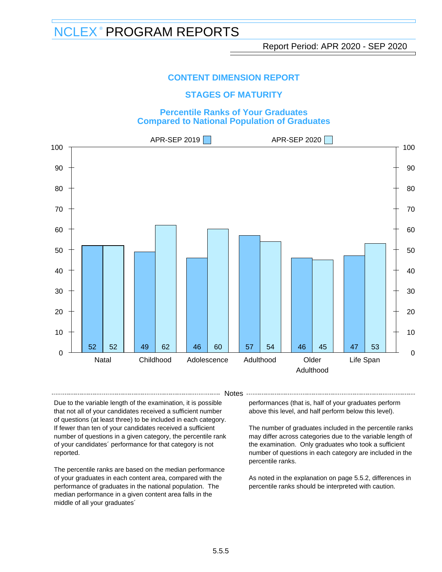### **STAGES OF MATURITY**

### **Percentile Ranks of Your Graduates Compared to National Population of Graduates**



-- Notes --

Due to the variable length of the examination, it is possible that not all of your candidates received a sufficient number of questions (at least three) to be included in each category. If fewer than ten of your candidates received a sufficient number of questions in a given category, the percentile rank of your candidates´ performance for that category is not reported.

The percentile ranks are based on the median performance of your graduates in each content area, compared with the performance of graduates in the national population. The median performance in a given content area falls in the middle of all your graduates´

performances (that is, half of your graduates perform above this level, and half perform below this level).

The number of graduates included in the percentile ranks may differ across categories due to the variable length of the examination. Only graduates who took a sufficient number of questions in each category are included in the percentile ranks.

As noted in the explanation on page 5.5.2, differences in percentile ranks should be interpreted with caution.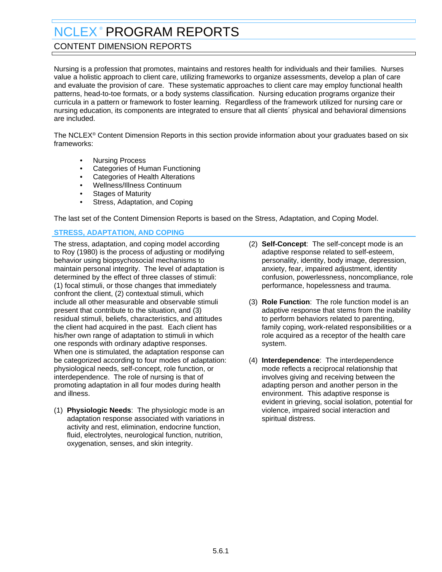# <span id="page-42-0"></span>CONTENT DIMENSION REPORTS

Nursing is a profession that promotes, maintains and restores health for individuals and their families. Nurses value a holistic approach to client care, utilizing frameworks to organize assessments, develop a plan of care and evaluate the provision of care. These systematic approaches to client care may employ functional health patterns, head-to-toe formats, or a body systems classification. Nursing education programs organize their curricula in a pattern or framework to foster learning. Regardless of the framework utilized for nursing care or nursing education, its components are integrated to ensure that all clients´ physical and behavioral dimensions are included.

The NCLEX® Content Dimension Reports in this section provide information about your graduates based on six frameworks:

- Nursing Process
- Categories of Human Functioning
- Categories of Health Alterations
- Wellness/Illness Continuum
- **Stages of Maturity**
- Stress, Adaptation, and Coping

The last set of the Content Dimension Reports is based on the Stress, Adaptation, and Coping Model.

### **STRESS, ADAPTATION, AND COPING**

The stress, adaptation, and coping model according to Roy (1980) is the process of adjusting or modifying behavior using biopsychosocial mechanisms to maintain personal integrity. The level of adaptation is determined by the effect of three classes of stimuli: (1) focal stimuli, or those changes that immediately confront the client, (2) contextual stimuli, which include all other measurable and observable stimuli present that contribute to the situation, and (3) residual stimuli, beliefs, characteristics, and attitudes the client had acquired in the past. Each client has his/her own range of adaptation to stimuli in which one responds with ordinary adaptive responses. When one is stimulated, the adaptation response can be categorized according to four modes of adaptation: physiological needs, self-concept, role function, or interdependence. The role of nursing is that of promoting adaptation in all four modes during health and illness.

(1) **Physiologic Needs**: The physiologic mode is an adaptation response associated with variations in activity and rest, elimination, endocrine function, fluid, electrolytes, neurological function, nutrition, oxygenation, senses, and skin integrity.

- (2) **Self-Concept**: The self-concept mode is an adaptive response related to self-esteem, personality, identity, body image, depression, anxiety, fear, impaired adjustment, identity confusion, powerlessness, noncompliance, role performance, hopelessness and trauma.
- (3) **Role Function**: The role function model is an adaptive response that stems from the inability to perform behaviors related to parenting, family coping, work-related responsibilities or a role acquired as a receptor of the health care system.
- (4) **Interdependence**: The interdependence mode reflects a reciprocal relationship that involves giving and receiving between the adapting person and another person in the environment. This adaptive response is evident in grieving, social isolation, potential for violence, impaired social interaction and spiritual distress.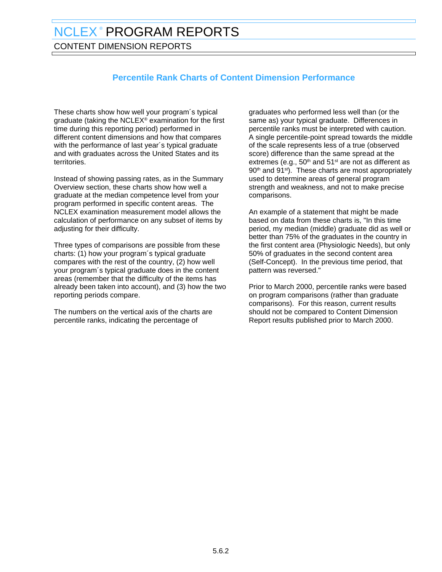CONTENT DIMENSION REPORTS

# **Percentile Rank Charts of Content Dimension Performance**

These charts show how well your program´s typical graduate (taking the NCLEX® examination for the first time during this reporting period) performed in different content dimensions and how that compares with the performance of last year´s typical graduate and with graduates across the United States and its territories.

Instead of showing passing rates, as in the Summary Overview section, these charts show how well a graduate at the median competence level from your program performed in specific content areas. The NCLEX examination measurement model allows the calculation of performance on any subset of items by adjusting for their difficulty.

Three types of comparisons are possible from these charts: (1) how your program´s typical graduate compares with the rest of the country, (2) how well your program´s typical graduate does in the content areas (remember that the difficulty of the items has already been taken into account), and (3) how the two reporting periods compare.

The numbers on the vertical axis of the charts are percentile ranks, indicating the percentage of

graduates who performed less well than (or the same as) your typical graduate. Differences in percentile ranks must be interpreted with caution. A single percentile-point spread towards the middle of the scale represents less of a true (observed score) difference than the same spread at the extremes (e.g.,  $50<sup>th</sup>$  and  $51<sup>st</sup>$  are not as different as 90<sup>th</sup> and 91<sup>st</sup>). These charts are most appropriately used to determine areas of general program strength and weakness, and not to make precise comparisons.

An example of a statement that might be made based on data from these charts is, "In this time period, my median (middle) graduate did as well or better than 75% of the graduates in the country in the first content area (Physiologic Needs), but only 50% of graduates in the second content area (Self-Concept). In the previous time period, that pattern was reversed."

Prior to March 2000, percentile ranks were based on program comparisons (rather than graduate comparisons). For this reason, current results should not be compared to Content Dimension Report results published prior to March 2000.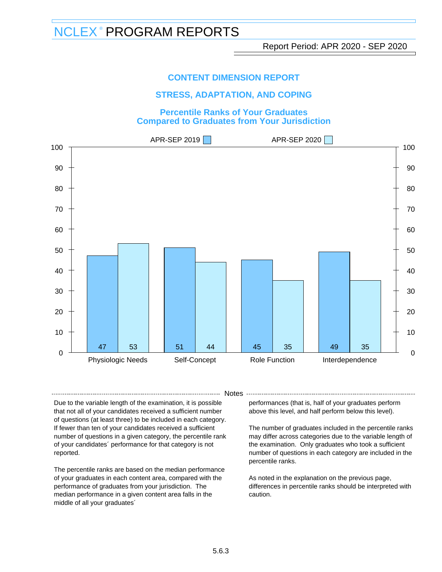### **CONTENT DIMENSION REPORT**

### **STRESS, ADAPTATION, AND COPING**

#### **Percentile Ranks of Your Graduates Compared to Graduates from Your Jurisdiction**



- Notes -

Due to the variable length of the examination, it is possible that not all of your candidates received a sufficient number of questions (at least three) to be included in each category. If fewer than ten of your candidates received a sufficient number of questions in a given category, the percentile rank of your candidates´ performance for that category is not reported.

The percentile ranks are based on the median performance of your graduates in each content area, compared with the performance of graduates from your jurisdiction. The median performance in a given content area falls in the middle of all your graduates´

performances (that is, half of your graduates perform above this level, and half perform below this level).

The number of graduates included in the percentile ranks may differ across categories due to the variable length of the examination. Only graduates who took a sufficient number of questions in each category are included in the percentile ranks.

As noted in the explanation on the previous page, differences in percentile ranks should be interpreted with caution.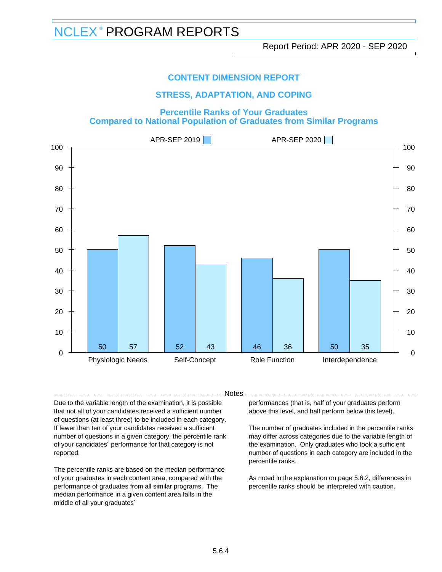### **CONTENT DIMENSION REPORT**

### **STRESS, ADAPTATION, AND COPING**

#### **Percentile Ranks of Your Graduates Compared to National Population of Graduates from Similar Programs**



- Notes -

Due to the variable length of the examination, it is possible that not all of your candidates received a sufficient number of questions (at least three) to be included in each category. If fewer than ten of your candidates received a sufficient number of questions in a given category, the percentile rank of your candidates´ performance for that category is not reported.

The percentile ranks are based on the median performance of your graduates in each content area, compared with the performance of graduates from all similar programs. The median performance in a given content area falls in the middle of all your graduates´

performances (that is, half of your graduates perform above this level, and half perform below this level).

The number of graduates included in the percentile ranks may differ across categories due to the variable length of the examination. Only graduates who took a sufficient number of questions in each category are included in the percentile ranks.

As noted in the explanation on page 5.6.2, differences in percentile ranks should be interpreted with caution.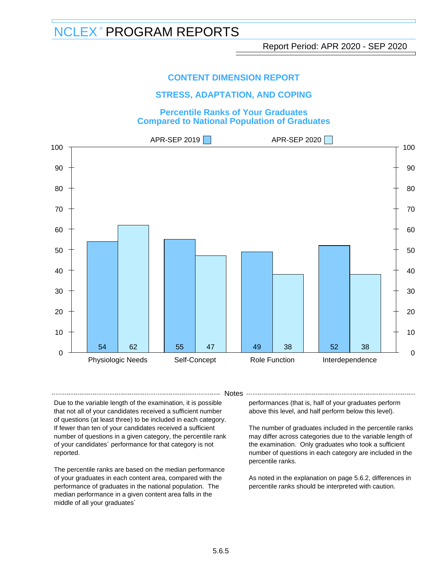### **CONTENT DIMENSION REPORT**

### **STRESS, ADAPTATION, AND COPING**

#### **Percentile Ranks of Your Graduates Compared to National Population of Graduates**



- Notes -

Due to the variable length of the examination, it is possible that not all of your candidates received a sufficient number of questions (at least three) to be included in each category. If fewer than ten of your candidates received a sufficient number of questions in a given category, the percentile rank of your candidates´ performance for that category is not reported.

The percentile ranks are based on the median performance of your graduates in each content area, compared with the performance of graduates in the national population. The median performance in a given content area falls in the middle of all your graduates´

performances (that is, half of your graduates perform above this level, and half perform below this level).

The number of graduates included in the percentile ranks may differ across categories due to the variable length of the examination. Only graduates who took a sufficient number of questions in each category are included in the percentile ranks.

As noted in the explanation on page 5.6.2, differences in percentile ranks should be interpreted with caution.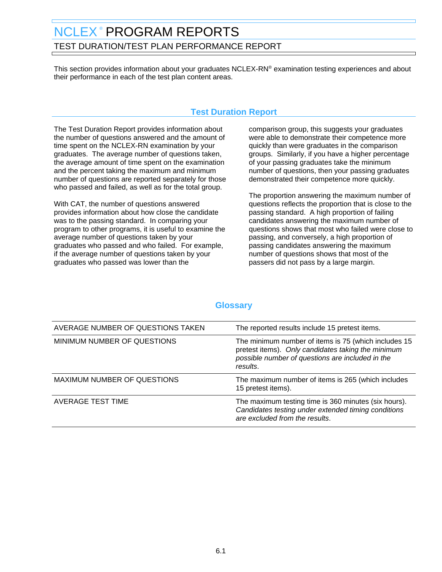# <span id="page-47-0"></span>NCLEX<sup>®</sup> PROGRAM REPORTS TEST DURATION/TEST PLAN PERFORMANCE REPORT

This section provides information about your graduates NCLEX-RN® examination testing experiences and about their performance in each of the test plan content areas.

# **Test Duration Report**

The Test Duration Report provides information about the number of questions answered and the amount of time spent on the NCLEX-RN examination by your graduates. The average number of questions taken, the average amount of time spent on the examination and the percent taking the maximum and minimum number of questions are reported separately for those who passed and failed, as well as for the total group.

With CAT, the number of questions answered provides information about how close the candidate was to the passing standard. In comparing your program to other programs, it is useful to examine the average number of questions taken by your graduates who passed and who failed. For example, if the average number of questions taken by your graduates who passed was lower than the

comparison group, this suggests your graduates were able to demonstrate their competence more quickly than were graduates in the comparison groups. Similarly, if you have a higher percentage of your passing graduates take the minimum number of questions, then your passing graduates demonstrated their competence more quickly.

The proportion answering the maximum number of questions reflects the proportion that is close to the passing standard. A high proportion of failing candidates answering the maximum number of questions shows that most who failed were close to passing, and conversely, a high proportion of passing candidates answering the maximum number of questions shows that most of the passers did not pass by a large margin.

| AVERAGE NUMBER OF QUESTIONS TAKEN  | The reported results include 15 pretest items.                                                                                                                             |
|------------------------------------|----------------------------------------------------------------------------------------------------------------------------------------------------------------------------|
| MINIMUM NUMBER OF QUESTIONS        | The minimum number of items is 75 (which includes 15<br>pretest items). Only candidates taking the minimum<br>possible number of questions are included in the<br>results. |
| <b>MAXIMUM NUMBER OF QUESTIONS</b> | The maximum number of items is 265 (which includes<br>15 pretest items).                                                                                                   |
| AVERAGE TEST TIME                  | The maximum testing time is 360 minutes (six hours).<br>Candidates testing under extended timing conditions<br>are excluded from the results.                              |

# **Glossary**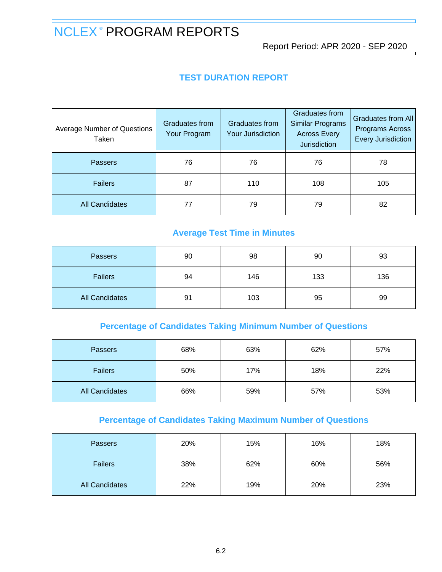Report Period: APR 2020 - SEP 2020

# **TEST DURATION REPORT**

| <b>Average Number of Questions</b><br>Taken | Graduates from<br>Your Program | Graduates from<br><b>Your Jurisdiction</b> | Graduates from<br>Similar Programs<br><b>Across Every</b><br>Jurisdiction | Graduates from All<br>Programs Across<br><b>Every Jurisdiction</b> |
|---------------------------------------------|--------------------------------|--------------------------------------------|---------------------------------------------------------------------------|--------------------------------------------------------------------|
| <b>Passers</b>                              | 76                             | 76                                         | 76                                                                        | 78                                                                 |
| <b>Failers</b>                              | 87                             | 110                                        | 108                                                                       | 105                                                                |
| <b>All Candidates</b>                       | 77                             | 79                                         | 79                                                                        | 82                                                                 |

# **Average Test Time in Minutes**

| <b>Passers</b>        | 90 | 98  | 90  | 93  |
|-----------------------|----|-----|-----|-----|
| <b>Failers</b>        | 94 | 146 | 133 | 136 |
| <b>All Candidates</b> | 91 | 103 | 95  | 99  |

# **Percentage of Candidates Taking Minimum Number of Questions**

| <b>Passers</b>        | 68% | 63% | 62% | 57% |
|-----------------------|-----|-----|-----|-----|
| <b>Failers</b>        | 50% | 17% | 18% | 22% |
| <b>All Candidates</b> | 66% | 59% | 57% | 53% |

# **Percentage of Candidates Taking Maximum Number of Questions**

| <b>Passers</b>        | 20% | 15% | 16% | 18% |
|-----------------------|-----|-----|-----|-----|
| <b>Failers</b>        | 38% | 62% | 60% | 56% |
| <b>All Candidates</b> | 22% | 19% | 20% | 23% |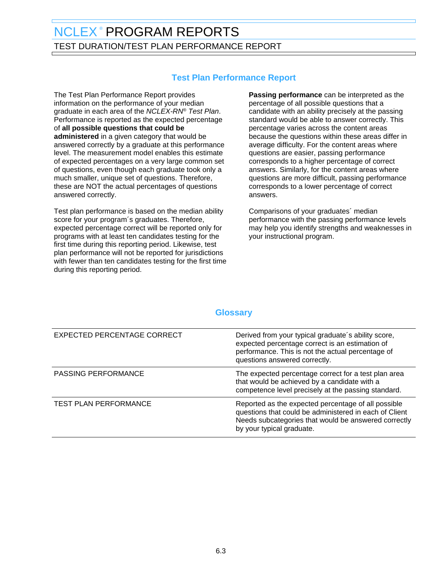# NCLEX<sup>®</sup> PROGRAM REPORTS TEST DURATION/TEST PLAN PERFORMANCE REPORT

# **Test Plan Performance Report**

The Test Plan Performance Report provides information on the performance of your median graduate in each area of the NCLEX-RN® Test Plan. Performance is reported as the expected percentage of **all possible questions that could be administered** in a given category that would be answered correctly by a graduate at this performance level. The measurement model enables this estimate of expected percentages on a very large common set of questions, even though each graduate took only a much smaller, unique set of questions. Therefore, these are NOT the actual percentages of questions answered correctly.

Test plan performance is based on the median ability score for your program´s graduates. Therefore, expected percentage correct will be reported only for programs with at least ten candidates testing for the first time during this reporting period. Likewise, test plan performance will not be reported for jurisdictions with fewer than ten candidates testing for the first time during this reporting period.

**Passing performance** can be interpreted as the percentage of all possible questions that a candidate with an ability precisely at the passing standard would be able to answer correctly. This percentage varies across the content areas because the questions within these areas differ in average difficulty. For the content areas where questions are easier, passing performance corresponds to a higher percentage of correct answers. Similarly, for the content areas where questions are more difficult, passing performance corresponds to a lower percentage of correct answers.

Comparisons of your graduates´ median performance with the passing performance levels may help you identify strengths and weaknesses in your instructional program.

# **Glossary**

| <b>EXPECTED PERCENTAGE CORRECT</b> | Derived from your typical graduate's ability score,<br>expected percentage correct is an estimation of<br>performance. This is not the actual percentage of<br>questions answered correctly.       |
|------------------------------------|----------------------------------------------------------------------------------------------------------------------------------------------------------------------------------------------------|
| <b>PASSING PERFORMANCE</b>         | The expected percentage correct for a test plan area<br>that would be achieved by a candidate with a<br>competence level precisely at the passing standard.                                        |
| TEST PLAN PERFORMANCE              | Reported as the expected percentage of all possible<br>questions that could be administered in each of Client<br>Needs subcategories that would be answered correctly<br>by your typical graduate. |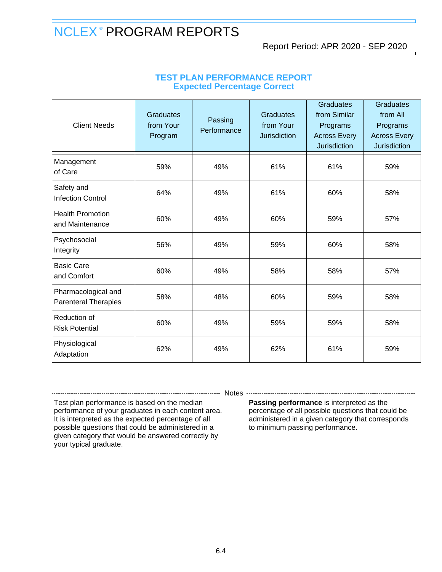Report Period: APR 2020 - SEP 2020

| <b>Client Needs</b>                                | <b>Graduates</b><br>from Your<br>Program | Passing<br>Performance | <b>Graduates</b><br>from Your<br><b>Jurisdiction</b> | <b>Graduates</b><br>from Similar<br>Programs<br><b>Across Every</b><br><b>Jurisdiction</b> | <b>Graduates</b><br>from All<br>Programs<br><b>Across Every</b><br><b>Jurisdiction</b> |
|----------------------------------------------------|------------------------------------------|------------------------|------------------------------------------------------|--------------------------------------------------------------------------------------------|----------------------------------------------------------------------------------------|
| Management<br>of Care                              | 59%                                      | 49%                    | 61%                                                  | 61%                                                                                        | 59%                                                                                    |
| Safety and<br><b>Infection Control</b>             | 64%                                      | 49%                    | 61%                                                  | 60%                                                                                        | 58%                                                                                    |
| <b>Health Promotion</b><br>and Maintenance         | 60%                                      | 49%                    | 60%                                                  | 59%                                                                                        | 57%                                                                                    |
| Psychosocial<br>Integrity                          | 56%                                      | 49%                    | 59%                                                  | 60%                                                                                        | 58%                                                                                    |
| <b>Basic Care</b><br>and Comfort                   | 60%                                      | 49%                    | 58%                                                  | 58%                                                                                        | 57%                                                                                    |
| Pharmacological and<br><b>Parenteral Therapies</b> | 58%                                      | 48%                    | 60%                                                  | 59%                                                                                        | 58%                                                                                    |
| Reduction of<br><b>Risk Potential</b>              | 60%                                      | 49%                    | 59%                                                  | 59%                                                                                        | 58%                                                                                    |
| Physiological<br>Adaptation                        | 62%                                      | 49%                    | 62%                                                  | 61%                                                                                        | 59%                                                                                    |

### **TEST PLAN PERFORMANCE REPORT Expected Percentage Correct**

-------- Notes ---

Test plan performance is based on the median performance of your graduates in each content area. It is interpreted as the expected percentage of all possible questions that could be administered in a given category that would be answered correctly by your typical graduate.

**Passing performance** is interpreted as the percentage of all possible questions that could be administered in a given category that corresponds to minimum passing performance.